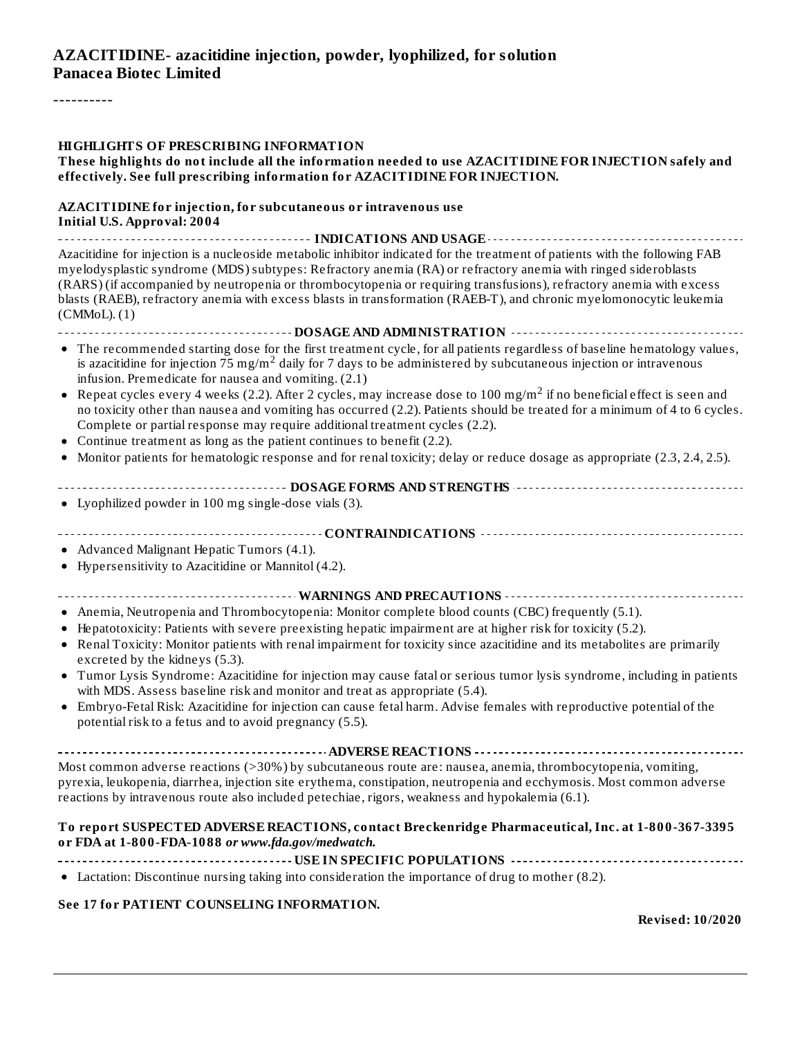#### **AZACITIDINE- azacitidine injection, powder, lyophilized, for solution Panacea Biotec Limited**

----------

#### **HIGHLIGHTS OF PRESCRIBING INFORMATION**

#### **These highlights do not include all the information needed to use AZACITIDINE FOR INJECTION safely and effectively. See full prescribing information for AZACITIDINE FOR INJECTION.**

#### **AZACITIDINE for injection, for subcutaneous or intravenous use Initial U.S. Approval: 2004**

**INDICATIONS AND USAGE** Azacitidine for injection is a nucleoside metabolic inhibitor indicated for the treatment of patients with the following FAB myelodysplastic syndrome (MDS) subtypes: Refractory anemia (RA) or refractory anemia with ringed sideroblasts (RARS) (if accompanied by neutropenia or thrombocytopenia or requiring transfusions), refractory anemia with excess blasts (RAEB), refractory anemia with excess blasts in transformation (RAEB-T), and chronic myelomonocytic leukemia (CMMoL). (1) **DOSAGE AND ADMINISTRATION**

- The recommended starting dose for the first treatment cycle, for all patients regardless of baseline hematology values, is azacitidine for injection  $75$  mg/m<sup>2</sup> daily for 7 days to be administered by subcutaneous injection or intravenous infusion. Premedicate for nausea and vomiting. (2.1)
- Repeat cycles every 4 weeks (2.2). After 2 cycles, may increase dose to 100 mg/m $^2$  if no beneficial effect is seen and no toxicity other than nausea and vomiting has occurred (2.2). Patients should be treated for a minimum of 4 to 6 cycles. Complete or partial response may require additional treatment cycles (2.2).
- Continue treatment as long as the patient continues to benefit (2.2).
- Monitor patients for hematologic response and for renal toxicity; delay or reduce dosage as appropriate (2.3, 2.4, 2.5).
- **DOSAGE FORMS AND STRENGTHS**
- Lyophilized powder in 100 mg single-dose vials (3).
- **CONTRAINDICATIONS**
- Advanced Malignant Hepatic Tumors (4.1).
- Hypersensitivity to Azacitidine or Mannitol (4.2).
- **WARNINGS AND PRECAUTIONS**
- Anemia, Neutropenia and Thrombocytopenia: Monitor complete blood counts (CBC) frequently (5.1).
- Hepatotoxicity: Patients with severe preexisting hepatic impairment are at higher risk for toxicity (5.2).
- Renal Toxicity: Monitor patients with renal impairment for toxicity since azacitidine and its metabolites are primarily excreted by the kidneys (5.3).
- Tumor Lysis Syndrome: Azacitidine for injection may cause fatal or serious tumor lysis syndrome, including in patients  $\bullet$ with MDS. Assess baseline risk and monitor and treat as appropriate (5.4).
- Embryo-Fetal Risk: Azacitidine for injection can cause fetal harm. Advise females with reproductive potential of the  $\bullet$ potential risk to a fetus and to avoid pregnancy (5.5).

**ADVERSE REACTIONS**

Most common adverse reactions (>30%) by subcutaneous route are: nausea, anemia, thrombocytopenia, vomiting, pyrexia, leukopenia, diarrhea, injection site erythema, constipation, neutropenia and ecchymosis. Most common adverse reactions by intravenous route also included petechiae, rigors, weakness and hypokalemia (6.1).

#### **To report SUSPECTED ADVERSE REACTIONS, contact Breckenridge Pharmaceutical, Inc. at 1-800-367-3395 or FDA at 1-800-FDA-1088** *or www.fda.gov/medwatch.*

**USE IN SPECIFIC POPULATIONS**

Lactation: Discontinue nursing taking into consideration the importance of drug to mother (8.2).

#### **See 17 for PATIENT COUNSELING INFORMATION.**

**Revised: 10/2020**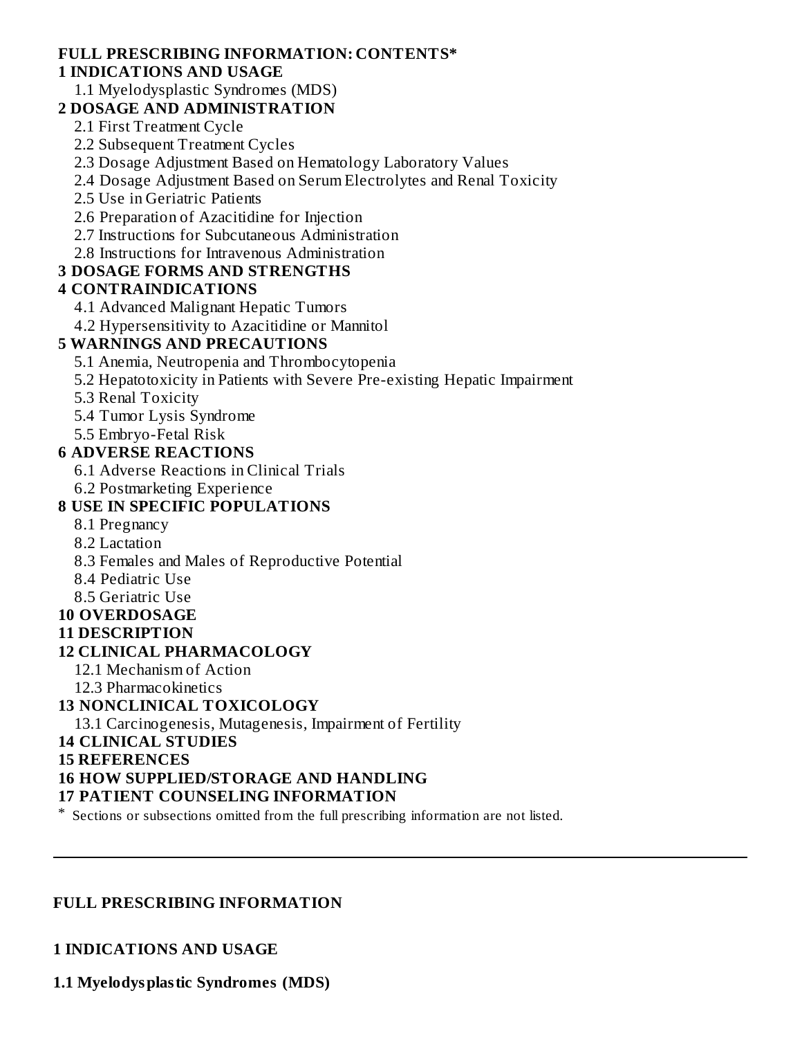#### **FULL PRESCRIBING INFORMATION: CONTENTS\***

#### **1 INDICATIONS AND USAGE**

1.1 Myelodysplastic Syndromes (MDS)

#### **2 DOSAGE AND ADMINISTRATION**

2.1 First Treatment Cycle

2.2 Subsequent Treatment Cycles

2.3 Dosage Adjustment Based on Hematology Laboratory Values

2.4 Dosage Adjustment Based on Serum Electrolytes and Renal Toxicity

2.5 Use in Geriatric Patients

2.6 Preparation of Azacitidine for Injection

2.7 Instructions for Subcutaneous Administration

2.8 Instructions for Intravenous Administration

### **3 DOSAGE FORMS AND STRENGTHS**

### **4 CONTRAINDICATIONS**

4.1 Advanced Malignant Hepatic Tumors

4.2 Hypersensitivity to Azacitidine or Mannitol

### **5 WARNINGS AND PRECAUTIONS**

5.1 Anemia, Neutropenia and Thrombocytopenia

5.2 Hepatotoxicity in Patients with Severe Pre-existing Hepatic Impairment

5.3 Renal Toxicity

5.4 Tumor Lysis Syndrome

5.5 Embryo-Fetal Risk

### **6 ADVERSE REACTIONS**

6.1 Adverse Reactions in Clinical Trials

6.2 Postmarketing Experience

# **8 USE IN SPECIFIC POPULATIONS**

- 8.1 Pregnancy
- 8.2 Lactation
- 8.3 Females and Males of Reproductive Potential
- 8.4 Pediatric Use

8.5 Geriatric Use

### **10 OVERDOSAGE**

### **11 DESCRIPTION**

# **12 CLINICAL PHARMACOLOGY**

12.1 Mechanism of Action

12.3 Pharmacokinetics

# **13 NONCLINICAL TOXICOLOGY**

13.1 Carcinogenesis, Mutagenesis, Impairment of Fertility

**14 CLINICAL STUDIES**

### **15 REFERENCES**

# **16 HOW SUPPLIED/STORAGE AND HANDLING**

### **17 PATIENT COUNSELING INFORMATION**

\* Sections or subsections omitted from the full prescribing information are not listed.

### **FULL PRESCRIBING INFORMATION**

**1 INDICATIONS AND USAGE**

**1.1 Myelodysplastic Syndromes (MDS)**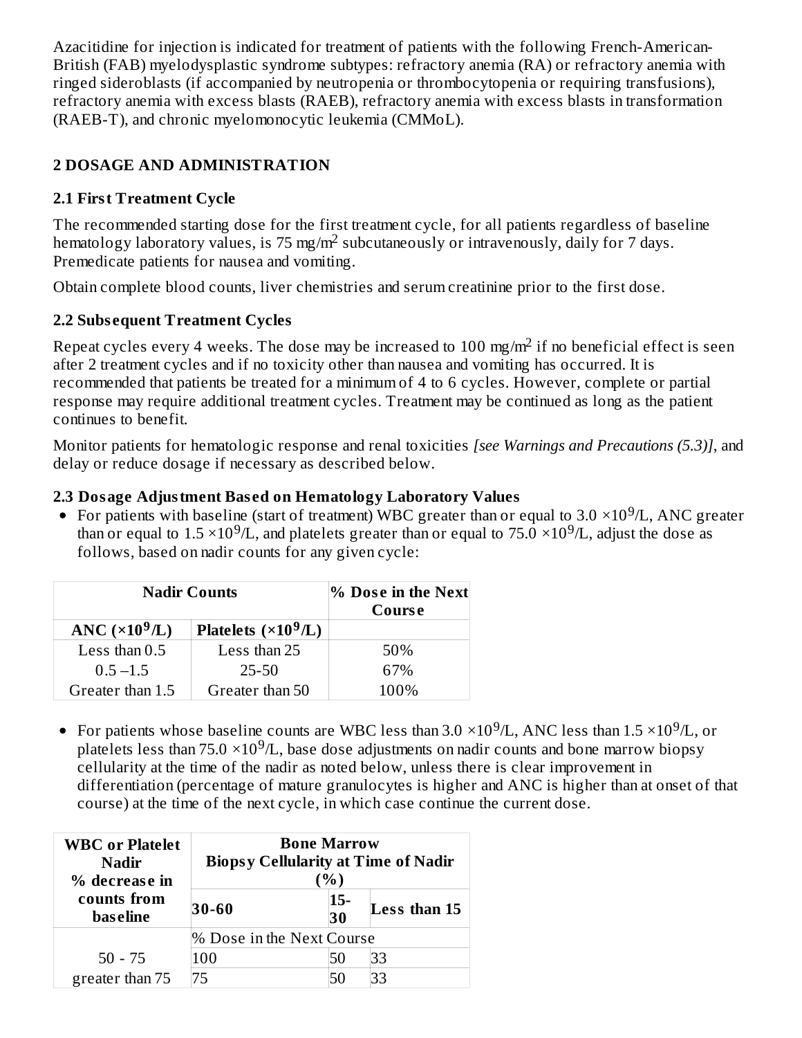Azacitidine for injection is indicated for treatment of patients with the following French-American-British (FAB) myelodysplastic syndrome subtypes: refractory anemia (RA) or refractory anemia with ringed sideroblasts (if accompanied by neutropenia or thrombocytopenia or requiring transfusions), refractory anemia with excess blasts (RAEB), refractory anemia with excess blasts in transformation (RAEB-T), and chronic myelomonocytic leukemia (CMMoL).

# **2 DOSAGE AND ADMINISTRATION**

# **2.1 First Treatment Cycle**

The recommended starting dose for the first treatment cycle, for all patients regardless of baseline hematology laboratory values, is  $75 \text{ mg/m}^2$  subcutaneously or intravenously, daily for  $7$  days. Premedicate patients for nausea and vomiting.

Obtain complete blood counts, liver chemistries and serum creatinine prior to the first dose.

# **2.2 Subs equent Treatment Cycles**

Repeat cycles every 4 weeks. The dose may be increased to 100 mg/m<sup>2</sup> if no beneficial effect is seen after 2 treatment cycles and if no toxicity other than nausea and vomiting has occurred. It is recommended that patients be treated for a minimum of 4 to 6 cycles. However, complete or partial response may require additional treatment cycles. Treatment may be continued as long as the patient continues to benefit.

Monitor patients for hematologic response and renal toxicities *[see Warnings and Precautions (5.3)]*, and delay or reduce dosage if necessary as described below.

# **2.3 Dosage Adjustment Bas ed on Hematology Laboratory Values**

For patients with baseline (start of treatment) WBC greater than or equal to 3.0  $\times 10^9$ /L, ANC greater than or equal to 1.5  $\times$ 10<sup>9</sup>/L, and platelets greater than or equal to 75.0  $\times$ 10<sup>9</sup>/L, adjust the dose as follows, based on nadir counts for any given cycle:

| <b>Nadir Counts</b>    |                             | % Dose in the Next<br>Course |
|------------------------|-----------------------------|------------------------------|
| ANC $(\times 10^9$ /L) | Platelets $(\times 10^9/L)$ |                              |
| Less than $0.5$        | Less than 25                | 50%                          |
| $0.5 - 1.5$            | 25-50                       | 67%                          |
| Greater than 1.5       | Greater than 50             | 100%                         |

For patients whose baseline counts are WBC less than 3.0  $\times 10^9$ /L, ANC less than 1.5  $\times 10^9$ /L, or platelets less than 75.0  $\times$ 10<sup>9</sup>/L, base dose adjustments on nadir counts and bone marrow biopsy cellularity at the time of the nadir as noted below, unless there is clear improvement in differentiation (percentage of mature granulocytes is higher and ANC is higher than at onset of that course) at the time of the next cycle, in which case continue the current dose.

| <b>WBC</b> or Platelet<br><b>Nadir</b><br>% decrease in | <b>Bone Marrow</b><br><b>Biopsy Cellularity at Time of Nadir</b><br>$%$ ) |              |              |
|---------------------------------------------------------|---------------------------------------------------------------------------|--------------|--------------|
| counts from<br><b>bas eline</b>                         | 30-60                                                                     | $ 15-$<br>30 | Less than 15 |
|                                                         | % Dose in the Next Course                                                 |              |              |
| $50 - 75$                                               | 100                                                                       | 50           | 33           |
| greater than 75                                         | 75                                                                        |              | 33           |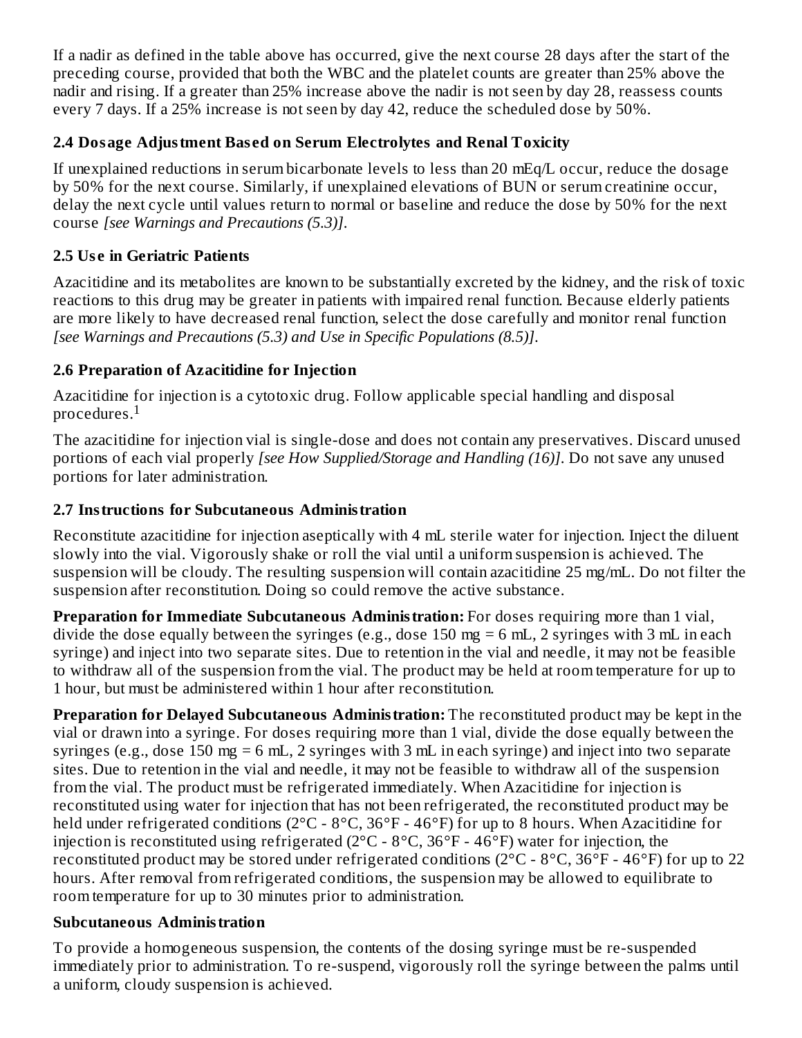If a nadir as defined in the table above has occurred, give the next course 28 days after the start of the preceding course, provided that both the WBC and the platelet counts are greater than 25% above the nadir and rising. If a greater than 25% increase above the nadir is not seen by day 28, reassess counts every 7 days. If a 25% increase is not seen by day 42, reduce the scheduled dose by 50%.

# **2.4 Dosage Adjustment Bas ed on Serum Electrolytes and Renal Toxicity**

If unexplained reductions in serum bicarbonate levels to less than 20 mEq/L occur, reduce the dosage by 50% for the next course. Similarly, if unexplained elevations of BUN or serum creatinine occur, delay the next cycle until values return to normal or baseline and reduce the dose by 50% for the next course *[see Warnings and Precautions (5.3)]*.

# **2.5 Us e in Geriatric Patients**

Azacitidine and its metabolites are known to be substantially excreted by the kidney, and the risk of toxic reactions to this drug may be greater in patients with impaired renal function. Because elderly patients are more likely to have decreased renal function, select the dose carefully and monitor renal function *[see Warnings and Precautions (5.3) and Use in Specific Populations (8.5)]*.

# **2.6 Preparation of Azacitidine for Injection**

Azacitidine for injection is a cytotoxic drug. Follow applicable special handling and disposal procedures. $^{\rm 1}$ 

The azacitidine for injection vial is single-dose and does not contain any preservatives. Discard unused portions of each vial properly *[see How Supplied/Storage and Handling (16)]*. Do not save any unused portions for later administration.

# **2.7 Instructions for Subcutaneous Administration**

Reconstitute azacitidine for injection aseptically with 4 mL sterile water for injection. Inject the diluent slowly into the vial. Vigorously shake or roll the vial until a uniform suspension is achieved. The suspension will be cloudy. The resulting suspension will contain azacitidine 25 mg/mL. Do not filter the suspension after reconstitution. Doing so could remove the active substance.

**Preparation for Immediate Subcutaneous Administration:** For doses requiring more than 1 vial, divide the dose equally between the syringes (e.g., dose 150 mg = 6 mL, 2 syringes with 3 mL in each syringe) and inject into two separate sites. Due to retention in the vial and needle, it may not be feasible to withdraw all of the suspension from the vial. The product may be held at room temperature for up to 1 hour, but must be administered within 1 hour after reconstitution.

**Preparation for Delayed Subcutaneous Administration:** The reconstituted product may be kept in the vial or drawn into a syringe. For doses requiring more than 1 vial, divide the dose equally between the syringes (e.g., dose 150 mg = 6 mL, 2 syringes with 3 mL in each syringe) and inject into two separate sites. Due to retention in the vial and needle, it may not be feasible to withdraw all of the suspension from the vial. The product must be refrigerated immediately. When Azacitidine for injection is reconstituted using water for injection that has not been refrigerated, the reconstituted product may be held under refrigerated conditions (2°C - 8°C, 36°F - 46°F) for up to 8 hours. When Azacitidine for injection is reconstituted using refrigerated (2°C - 8°C, 36°F - 46°F) water for injection, the reconstituted product may be stored under refrigerated conditions ( $2^{\circ}$ C -  $8^{\circ}$ C,  $36^{\circ}$ F -  $46^{\circ}$ F) for up to 22 hours. After removal from refrigerated conditions, the suspension may be allowed to equilibrate to room temperature for up to 30 minutes prior to administration.

# **Subcutaneous Administration**

To provide a homogeneous suspension, the contents of the dosing syringe must be re-suspended immediately prior to administration. To re-suspend, vigorously roll the syringe between the palms until a uniform, cloudy suspension is achieved.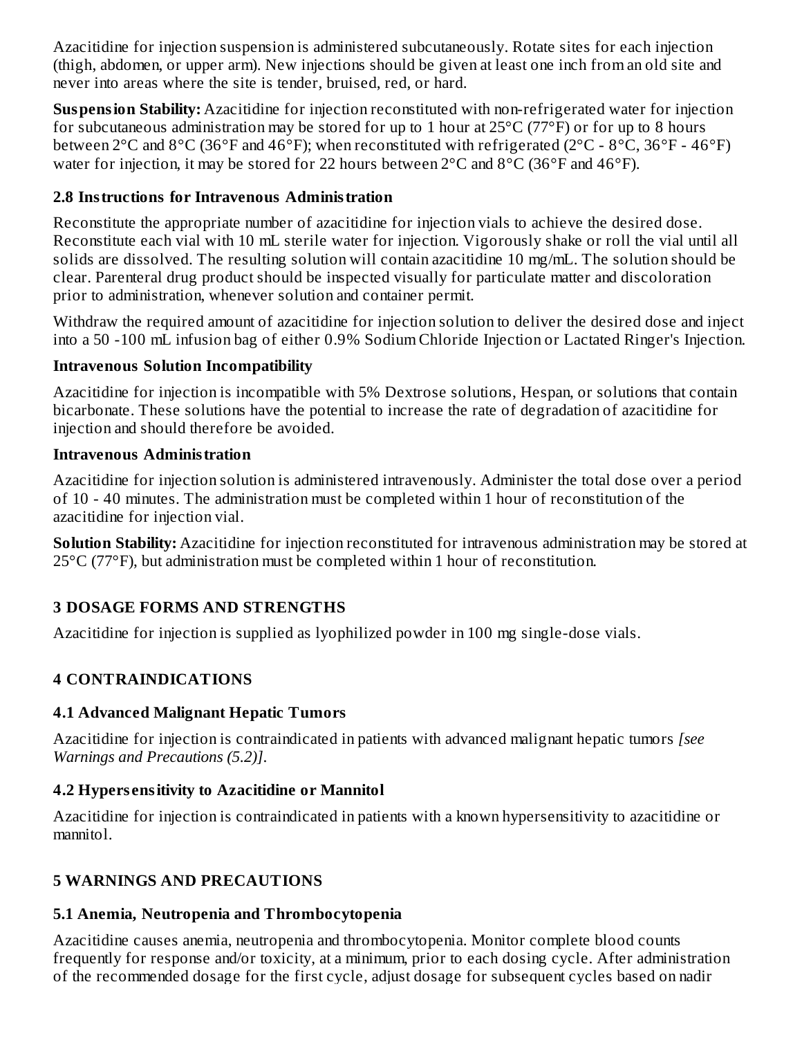Azacitidine for injection suspension is administered subcutaneously. Rotate sites for each injection (thigh, abdomen, or upper arm). New injections should be given at least one inch from an old site and never into areas where the site is tender, bruised, red, or hard.

**Suspension Stability:** Azacitidine for injection reconstituted with non-refrigerated water for injection for subcutaneous administration may be stored for up to 1 hour at  $25^{\circ}$ C (77°F) or for up to 8 hours between 2°C and 8°C (36°F and 46°F); when reconstituted with refrigerated (2°C - 8°C, 36°F - 46°F) water for injection, it may be stored for 22 hours between 2°C and 8°C (36°F and 46°F).

# **2.8 Instructions for Intravenous Administration**

Reconstitute the appropriate number of azacitidine for injection vials to achieve the desired dose. Reconstitute each vial with 10 mL sterile water for injection. Vigorously shake or roll the vial until all solids are dissolved. The resulting solution will contain azacitidine 10 mg/mL. The solution should be clear. Parenteral drug product should be inspected visually for particulate matter and discoloration prior to administration, whenever solution and container permit.

Withdraw the required amount of azacitidine for injection solution to deliver the desired dose and inject into a 50 -100 mL infusion bag of either 0.9% Sodium Chloride Injection or Lactated Ringer's Injection.

# **Intravenous Solution Incompatibility**

Azacitidine for injection is incompatible with 5% Dextrose solutions, Hespan, or solutions that contain bicarbonate. These solutions have the potential to increase the rate of degradation of azacitidine for injection and should therefore be avoided.

# **Intravenous Administration**

Azacitidine for injection solution is administered intravenously. Administer the total dose over a period of 10 - 40 minutes. The administration must be completed within 1 hour of reconstitution of the azacitidine for injection vial.

**Solution Stability:** Azacitidine for injection reconstituted for intravenous administration may be stored at 25°C (77°F), but administration must be completed within 1 hour of reconstitution.

# **3 DOSAGE FORMS AND STRENGTHS**

Azacitidine for injection is supplied as lyophilized powder in 100 mg single-dose vials.

# **4 CONTRAINDICATIONS**

# **4.1 Advanced Malignant Hepatic Tumors**

Azacitidine for injection is contraindicated in patients with advanced malignant hepatic tumors *[see Warnings and Precautions (5.2)]*.

# **4.2 Hypers ensitivity to Azacitidine or Mannitol**

Azacitidine for injection is contraindicated in patients with a known hypersensitivity to azacitidine or mannitol.

# **5 WARNINGS AND PRECAUTIONS**

# **5.1 Anemia, Neutropenia and Thrombocytopenia**

Azacitidine causes anemia, neutropenia and thrombocytopenia. Monitor complete blood counts frequently for response and/or toxicity, at a minimum, prior to each dosing cycle. After administration of the recommended dosage for the first cycle, adjust dosage for subsequent cycles based on nadir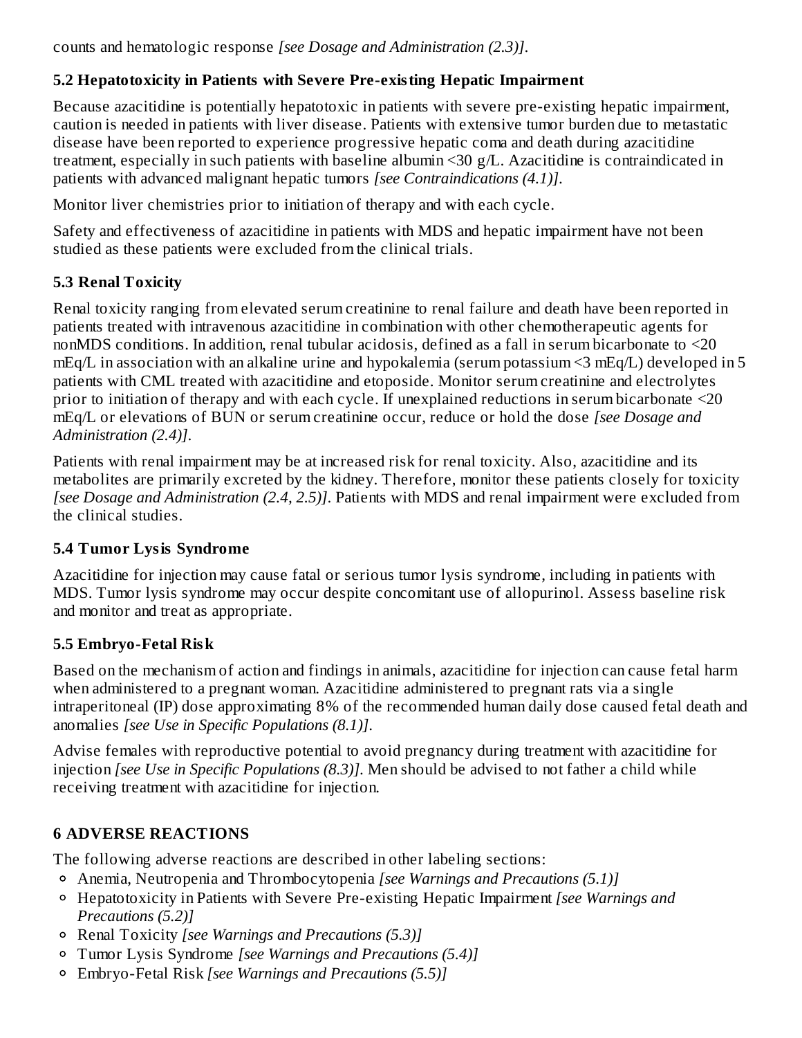counts and hematologic response *[see Dosage and Administration (2.3)]*.

# **5.2 Hepatotoxicity in Patients with Severe Pre-existing Hepatic Impairment**

Because azacitidine is potentially hepatotoxic in patients with severe pre-existing hepatic impairment, caution is needed in patients with liver disease. Patients with extensive tumor burden due to metastatic disease have been reported to experience progressive hepatic coma and death during azacitidine treatment, especially in such patients with baseline albumin <30 g/L. Azacitidine is contraindicated in patients with advanced malignant hepatic tumors *[see Contraindications (4.1)]*.

Monitor liver chemistries prior to initiation of therapy and with each cycle.

Safety and effectiveness of azacitidine in patients with MDS and hepatic impairment have not been studied as these patients were excluded from the clinical trials.

# **5.3 Renal Toxicity**

Renal toxicity ranging from elevated serum creatinine to renal failure and death have been reported in patients treated with intravenous azacitidine in combination with other chemotherapeutic agents for nonMDS conditions. In addition, renal tubular acidosis, defined as a fall in serum bicarbonate to <20 mEq/L in association with an alkaline urine and hypokalemia (serum potassium <3 mEq/L) developed in 5 patients with CML treated with azacitidine and etoposide. Monitor serum creatinine and electrolytes prior to initiation of therapy and with each cycle. If unexplained reductions in serum bicarbonate <20 mEq/L or elevations of BUN or serum creatinine occur, reduce or hold the dose *[see Dosage and Administration (2.4)]*.

Patients with renal impairment may be at increased risk for renal toxicity. Also, azacitidine and its metabolites are primarily excreted by the kidney. Therefore, monitor these patients closely for toxicity *[see Dosage and Administration (2.4, 2.5)]*. Patients with MDS and renal impairment were excluded from the clinical studies.

# **5.4 Tumor Lysis Syndrome**

Azacitidine for injection may cause fatal or serious tumor lysis syndrome, including in patients with MDS. Tumor lysis syndrome may occur despite concomitant use of allopurinol. Assess baseline risk and monitor and treat as appropriate.

# **5.5 Embryo-Fetal Risk**

Based on the mechanism of action and findings in animals, azacitidine for injection can cause fetal harm when administered to a pregnant woman. Azacitidine administered to pregnant rats via a single intraperitoneal (IP) dose approximating 8% of the recommended human daily dose caused fetal death and anomalies *[see Use in Specific Populations (8.1)]*.

Advise females with reproductive potential to avoid pregnancy during treatment with azacitidine for injection *[see Use in Specific Populations (8.3)]*. Men should be advised to not father a child while receiving treatment with azacitidine for injection.

# **6 ADVERSE REACTIONS**

The following adverse reactions are described in other labeling sections:

- Anemia, Neutropenia and Thrombocytopenia *[see Warnings and Precautions (5.1)]*
- Hepatotoxicity in Patients with Severe Pre-existing Hepatic Impairment *[see Warnings and Precautions (5.2)]*
- Renal Toxicity *[see Warnings and Precautions (5.3)]*
- Tumor Lysis Syndrome *[see Warnings and Precautions (5.4)]*
- Embryo-Fetal Risk *[see Warnings and Precautions (5.5)]*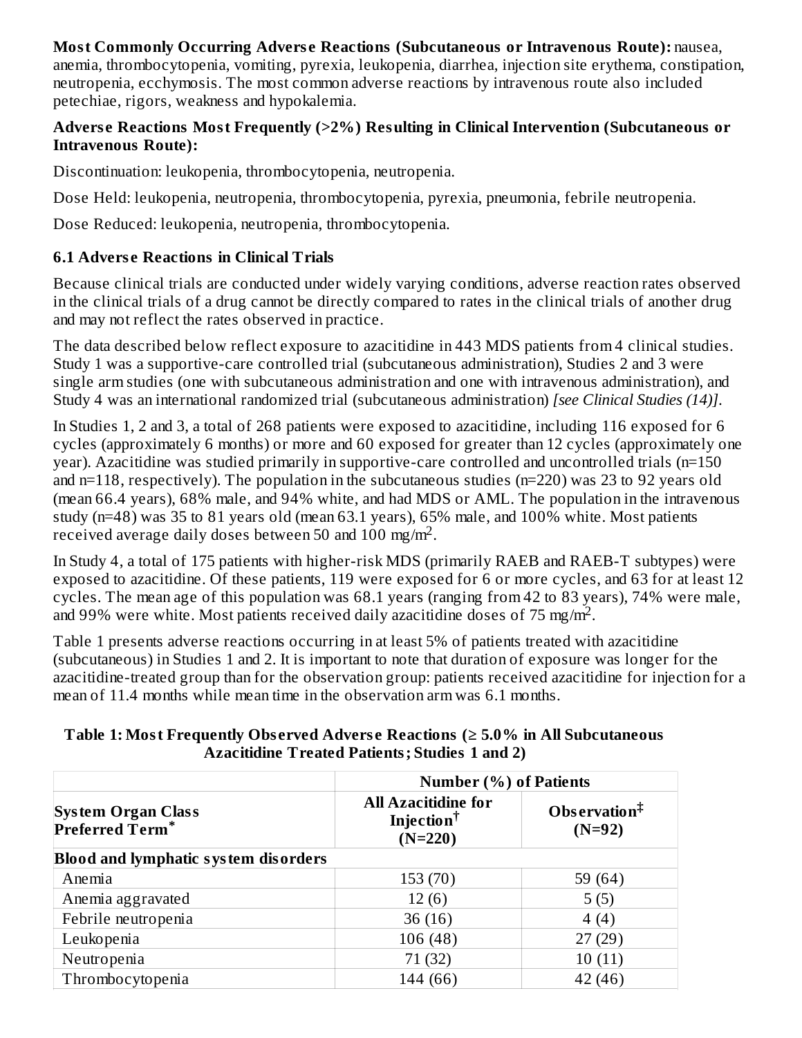#### **Most Commonly Occurring Advers e Reactions (Subcutaneous or Intravenous Route):** nausea, anemia, thrombocytopenia, vomiting, pyrexia, leukopenia, diarrhea, injection site erythema, constipation, neutropenia, ecchymosis. The most common adverse reactions by intravenous route also included petechiae, rigors, weakness and hypokalemia.

### **Advers e Reactions Most Frequently (>2%) Resulting in Clinical Intervention (Subcutaneous or Intravenous Route):**

Discontinuation: leukopenia, thrombocytopenia, neutropenia.

Dose Held: leukopenia, neutropenia, thrombocytopenia, pyrexia, pneumonia, febrile neutropenia.

Dose Reduced: leukopenia, neutropenia, thrombocytopenia.

# **6.1 Advers e Reactions in Clinical Trials**

Because clinical trials are conducted under widely varying conditions, adverse reaction rates observed in the clinical trials of a drug cannot be directly compared to rates in the clinical trials of another drug and may not reflect the rates observed in practice.

The data described below reflect exposure to azacitidine in 443 MDS patients from 4 clinical studies. Study 1 was a supportive-care controlled trial (subcutaneous administration), Studies 2 and 3 were single arm studies (one with subcutaneous administration and one with intravenous administration), and Study 4 was an international randomized trial (subcutaneous administration) *[see Clinical Studies (14)]*.

In Studies 1, 2 and 3, a total of 268 patients were exposed to azacitidine, including 116 exposed for 6 cycles (approximately 6 months) or more and 60 exposed for greater than 12 cycles (approximately one year). Azacitidine was studied primarily in supportive-care controlled and uncontrolled trials (n=150 and n=118, respectively). The population in the subcutaneous studies (n=220) was 23 to 92 years old (mean 66.4 years), 68% male, and 94% white, and had MDS or AML. The population in the intravenous study (n=48) was 35 to 81 years old (mean 63.1 years), 65% male, and 100% white. Most patients received average daily doses between 50 and 100 mg/m<sup>2</sup>.

In Study 4, a total of 175 patients with higher-risk MDS (primarily RAEB and RAEB-T subtypes) were exposed to azacitidine. Of these patients, 119 were exposed for 6 or more cycles, and 63 for at least 12 cycles. The mean age of this population was 68.1 years (ranging from 42 to 83 years), 74% were male, and 99% were white. Most patients received daily azacitidine doses of 75 mg/m<sup>2</sup>.

Table 1 presents adverse reactions occurring in at least 5% of patients treated with azacitidine (subcutaneous) in Studies 1 and 2. It is important to note that duration of exposure was longer for the azacitidine-treated group than for the observation group: patients received azacitidine for injection for a mean of 11.4 months while mean time in the observation arm was 6.1 months.

#### **Table 1: Most Frequently Obs erved Advers e Reactions (≥ 5.0% in All Subcutaneous Azacitidine Treated Patients; Studies 1 and 2)**

|                                             | <b>Number (%) of Patients</b>                                                                           |         |  |
|---------------------------------------------|---------------------------------------------------------------------------------------------------------|---------|--|
| System Organ Class<br>Preferred Term*       | <b>All Azacitidine for</b><br>Observation $\ddagger$<br>Injection <sup>†</sup><br>$(N=92)$<br>$(N=220)$ |         |  |
| <b>Blood and lymphatic system disorders</b> |                                                                                                         |         |  |
| Anemia                                      | 153 (70)                                                                                                | 59 (64) |  |
| Anemia aggravated                           | 12(6)                                                                                                   | 5(5)    |  |
| Febrile neutropenia                         | 36(16)                                                                                                  | 4(4)    |  |
| Leukopenia                                  | 106(48)                                                                                                 | 27(29)  |  |
| Neutropenia                                 | 71 (32)                                                                                                 | 10(11)  |  |
| Thrombocytopenia                            | 144 (66)                                                                                                | 42 (46) |  |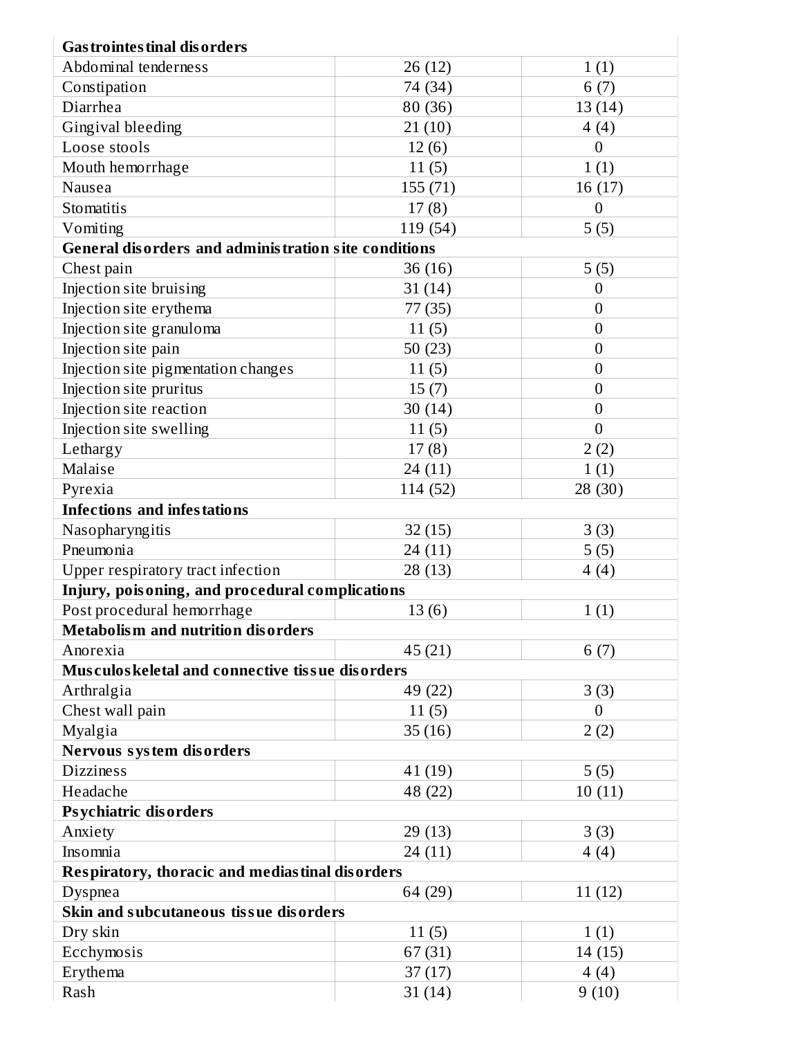| <b>Gas trointes tinal dis orders</b>                        |          |                  |  |  |  |
|-------------------------------------------------------------|----------|------------------|--|--|--|
| Abdominal tenderness                                        | 26 (12)  | 1(1)             |  |  |  |
| Constipation                                                | 74 (34)  | 6(7)             |  |  |  |
| Diarrhea                                                    | 80 (36)  | 13(14)           |  |  |  |
| <b>Gingival bleeding</b>                                    | 21(10)   | 4(4)             |  |  |  |
| Loose stools                                                | 12(6)    | $\overline{0}$   |  |  |  |
| Mouth hemorrhage                                            | 11(5)    | 1(1)             |  |  |  |
| Nausea                                                      | 155(71)  | 16 (17)          |  |  |  |
| Stomatitis                                                  | 17(8)    | $\boldsymbol{0}$ |  |  |  |
| Vomiting                                                    | 119 (54) | 5(5)             |  |  |  |
| <b>General disorders and administration site conditions</b> |          |                  |  |  |  |
| Chest pain                                                  | 36 (16)  | 5(5)             |  |  |  |
| Injection site bruising                                     | 31(14)   | $\mathbf{0}$     |  |  |  |
| Injection site erythema                                     | 77 (35)  | $\boldsymbol{0}$ |  |  |  |
| Injection site granuloma                                    | 11(5)    | $\mathbf{0}$     |  |  |  |
| Injection site pain                                         | 50(23)   | $\mathbf{0}$     |  |  |  |
| Injection site pigmentation changes                         | 11(5)    | $\mathbf{0}$     |  |  |  |
| Injection site pruritus                                     | 15(7)    | $\overline{0}$   |  |  |  |
| Injection site reaction                                     | 30(14)   | $\mathbf{0}$     |  |  |  |
| Injection site swelling                                     | 11(5)    | $\overline{0}$   |  |  |  |
| Lethargy                                                    | 17(8)    | 2(2)             |  |  |  |
| Malaise                                                     | 24(11)   | 1(1)             |  |  |  |
| Pyrexia                                                     | 114 (52) | 28(30)           |  |  |  |
| <b>Infections and infestations</b>                          |          |                  |  |  |  |
| Nasopharyngitis                                             | 32(15)   | 3(3)             |  |  |  |
| Pneumonia                                                   | 24 (11)  | 5(5)             |  |  |  |
| Upper respiratory tract infection                           | 28(13)   | 4(4)             |  |  |  |
| Injury, poisoning, and procedural complications             |          |                  |  |  |  |
| Post procedural hemorrhage                                  | 13(6)    | 1(1)             |  |  |  |
| <b>Metabolism and nutrition disorders</b>                   |          |                  |  |  |  |
| Anorexia                                                    | 45 (21)  | 6(7)             |  |  |  |
| Musculos keletal and connective tissue disorders            |          |                  |  |  |  |
| Arthralgia                                                  | 49 (22)  | 3(3)             |  |  |  |
| Chest wall pain                                             | 11(5)    | $\overline{0}$   |  |  |  |
| Myalgia                                                     | 35(16)   | 2(2)             |  |  |  |
| Nervous system disorders                                    |          |                  |  |  |  |
| <b>Dizziness</b>                                            | 41 (19)  | 5(5)             |  |  |  |
| Headache                                                    | 48 (22)  | 10(11)           |  |  |  |
| <b>Psychiatric disorders</b>                                |          |                  |  |  |  |
| Anxiety                                                     | 29(13)   | 3(3)             |  |  |  |
| Insomnia                                                    | 24 (11)  | 4(4)             |  |  |  |
| <b>Respiratory, thoracic and mediastinal disorders</b>      |          |                  |  |  |  |
| Dyspnea                                                     | 64 (29)  | 11(12)           |  |  |  |
| Skin and subcutaneous tissue disorders                      |          |                  |  |  |  |
| Dry skin                                                    | 11(5)    | 1(1)             |  |  |  |
| Ecchymosis                                                  | 67(31)   | 14 (15)          |  |  |  |
| Erythema                                                    | 37(17)   | 4(4)             |  |  |  |
| Rash                                                        | 31(14)   | 9(10)            |  |  |  |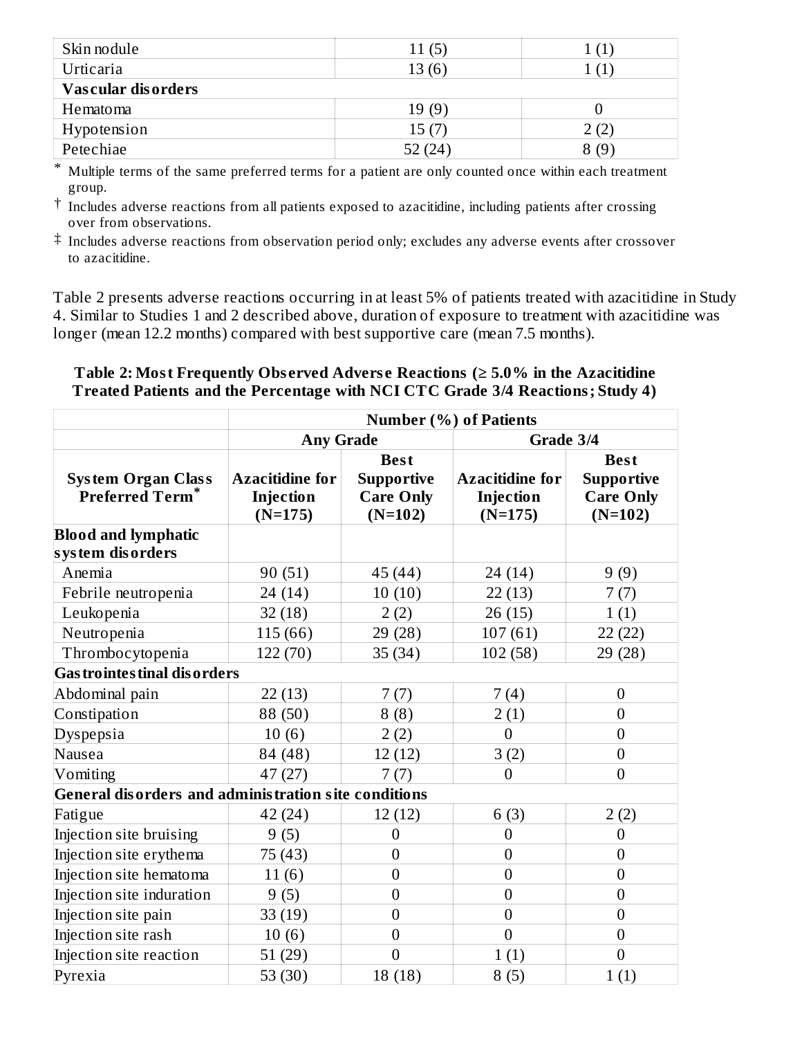| Skin nodule        | 11(5) |      |
|--------------------|-------|------|
| Urticaria          | 13(6) |      |
| Vascular disorders |       |      |
| Hematoma           | 19(9) |      |
| Hypotension        | 15(7) |      |
| Petechiae          | (24)  | 8 (9 |

\* Multiple terms of the same preferred terms for a patient are only counted once within each treatment group.

 $^\dagger$  Includes adverse reactions from all patients exposed to azacitidine, including patients after crossing over from observations.

 $\ddagger$  Includes adverse reactions from observation period only; excludes any adverse events after crossover to azacitidine.

Table 2 presents adverse reactions occurring in at least 5% of patients treated with azacitidine in Study 4. Similar to Studies 1 and 2 described above, duration of exposure to treatment with azacitidine was longer (mean 12.2 months) compared with best supportive care (mean 7.5 months).

#### **Table 2: Most Frequently Obs erved Advers e Reactions (≥ 5.0% in the Azacitidine Treated Patients and the Percentage with NCI CTC Grade 3/4 Reactions; Study 4)**

|                                                      | <b>Number (%) of Patients</b> |                   |                        |                   |  |
|------------------------------------------------------|-------------------------------|-------------------|------------------------|-------------------|--|
|                                                      | <b>Any Grade</b>              |                   | Grade 3/4              |                   |  |
|                                                      |                               | <b>Best</b>       |                        | <b>Best</b>       |  |
| <b>System Organ Class</b>                            | <b>Azacitidine for</b>        | <b>Supportive</b> | <b>Azacitidine for</b> | <b>Supportive</b> |  |
| <b>Preferred Term*</b>                               | Injection                     | <b>Care Only</b>  | Injection              | <b>Care Only</b>  |  |
|                                                      | $(N=175)$                     | $(N=102)$         | $(N=175)$              | $(N=102)$         |  |
| <b>Blood and lymphatic</b>                           |                               |                   |                        |                   |  |
| system disorders                                     |                               |                   |                        |                   |  |
| Anemia                                               | 90 (51)                       | 45 (44)           | 24 (14)                | 9(9)              |  |
| Febrile neutropenia                                  | 24 (14)                       | 10(10)            | 22(13)                 | 7(7)              |  |
| Leukopenia                                           | 32(18)                        | 2(2)              | 26 (15)                | 1(1)              |  |
| Neutropenia                                          | 115 (66)                      | 29 (28)           | 107(61)                | 22 (22)           |  |
| Thrombocytopenia                                     | 122 (70)                      | 35(34)            | 102(58)                | 29 (28)           |  |
| <b>Gas trointes tinal dis orders</b>                 |                               |                   |                        |                   |  |
| Abdominal pain                                       | 22(13)                        | 7(7)              | 7(4)                   | $\boldsymbol{0}$  |  |
| Constipation                                         | 88 (50)                       | 8(8)              | 2(1)                   | $\mathbf{0}$      |  |
| Dyspepsia                                            | 10(6)                         | 2(2)              | $\mathbf{0}$           | $\boldsymbol{0}$  |  |
| Nausea                                               | 84 (48)                       | 12(12)            | 3(2)                   | $\boldsymbol{0}$  |  |
| Vomiting                                             | 47(27)                        | 7(7)              | $\overline{0}$         | $\mathbf{0}$      |  |
| General disorders and administration site conditions |                               |                   |                        |                   |  |
| Fatigue                                              | 42 (24)                       | 12(12)            | 6(3)                   | 2(2)              |  |
| Injection site bruising                              | 9(5)                          | $\mathbf{0}$      | $\boldsymbol{0}$       | $\boldsymbol{0}$  |  |
| Injection site erythema                              | 75 (43)                       | $\boldsymbol{0}$  | $\mathbf{0}$           | $\boldsymbol{0}$  |  |
| Injection site hematoma                              | 11(6)                         | $\boldsymbol{0}$  | $\overline{0}$         | $\mathbf{0}$      |  |
| Injection site induration                            | 9(5)                          | $\overline{0}$    | $\overline{0}$         | $\overline{0}$    |  |
| Injection site pain                                  | 33(19)                        | $\overline{0}$    | $\boldsymbol{0}$       | $\boldsymbol{0}$  |  |
| Injection site rash                                  | 10(6)                         | $\boldsymbol{0}$  | $\overline{0}$         | $\boldsymbol{0}$  |  |
| Injection site reaction                              | 51(29)                        | $\overline{0}$    | 1(1)                   | $\overline{0}$    |  |
| Pyrexia                                              | 53 $(30)$                     | 18(18)            | 8(5)                   | 1(1)              |  |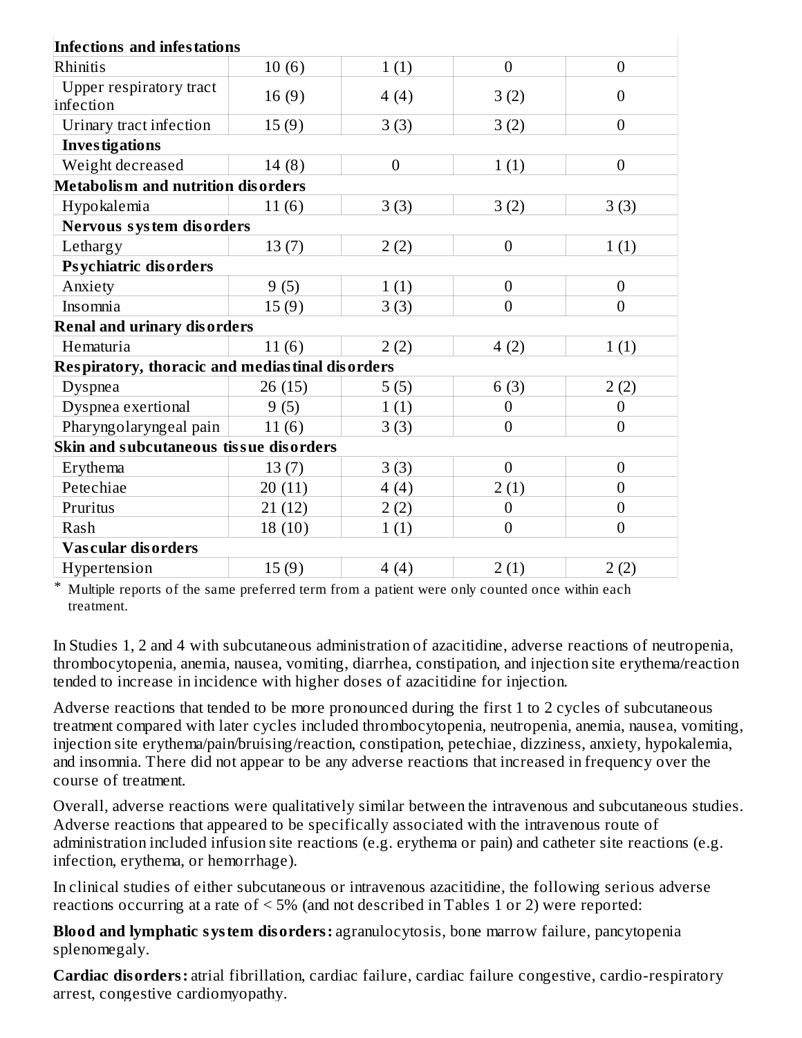| <b>Infections and infestations</b>              |        |                  |                  |                  |
|-------------------------------------------------|--------|------------------|------------------|------------------|
| Rhinitis                                        | 10(6)  | 1(1)             | $\boldsymbol{0}$ | $\boldsymbol{0}$ |
| Upper respiratory tract<br>infection            | 16(9)  | 4(4)             | 3(2)             | $\boldsymbol{0}$ |
| Urinary tract infection                         | 15(9)  | 3(3)             | 3(2)             | $\overline{0}$   |
| <b>Investigations</b>                           |        |                  |                  |                  |
| Weight decreased                                | 14(8)  | $\boldsymbol{0}$ | 1(1)             | $\boldsymbol{0}$ |
| Metabolism and nutrition disorders              |        |                  |                  |                  |
| Hypokalemia                                     | 11(6)  | 3(3)             | 3(2)             | 3(3)             |
| Nervous system disorders                        |        |                  |                  |                  |
| Lethargy                                        | 13(7)  | 2(2)             | $\boldsymbol{0}$ | 1(1)             |
| <b>Psychiatric disorders</b>                    |        |                  |                  |                  |
| Anxiety                                         | 9(5)   | 1(1)             | $\boldsymbol{0}$ | $\overline{0}$   |
| Insomnia                                        | 15(9)  | 3(3)             | $\overline{0}$   | $\boldsymbol{0}$ |
| <b>Renal and urinary disorders</b>              |        |                  |                  |                  |
| Hematuria                                       | 11(6)  | 2(2)             | 4(2)             | 1(1)             |
| Respiratory, thoracic and mediastinal disorders |        |                  |                  |                  |
| <b>Dyspnea</b>                                  | 26(15) | 5(5)             | 6(3)             | 2(2)             |
| Dyspnea exertional                              | 9(5)   | 1(1)             | $\overline{0}$   | $\overline{0}$   |
| Pharyngolaryngeal pain                          | 11(6)  | 3(3)             | $\boldsymbol{0}$ | $\boldsymbol{0}$ |
| Skin and subcutaneous tissue disorders          |        |                  |                  |                  |
| Erythema                                        | 13(7)  | 3(3)             | $\boldsymbol{0}$ | $\boldsymbol{0}$ |
| Petechiae                                       | 20(11) | 4(4)             | 2(1)             | $\overline{0}$   |
| Pruritus                                        | 21(12) | 2(2)             | $\boldsymbol{0}$ | $\overline{0}$   |
| Rash                                            | 18(10) | 1(1)             | $\boldsymbol{0}$ | $\boldsymbol{0}$ |
| <b>Vascular disorders</b>                       |        |                  |                  |                  |
| Hypertension                                    | 15(9)  | 4(4)             | 2(1)             | 2(2)             |

\* Multiple reports of the same preferred term from a patient were only counted once within each treatment.

In Studies 1, 2 and 4 with subcutaneous administration of azacitidine, adverse reactions of neutropenia, thrombocytopenia, anemia, nausea, vomiting, diarrhea, constipation, and injection site erythema/reaction tended to increase in incidence with higher doses of azacitidine for injection.

Adverse reactions that tended to be more pronounced during the first 1 to 2 cycles of subcutaneous treatment compared with later cycles included thrombocytopenia, neutropenia, anemia, nausea, vomiting, injection site erythema/pain/bruising/reaction, constipation, petechiae, dizziness, anxiety, hypokalemia, and insomnia. There did not appear to be any adverse reactions that increased in frequency over the course of treatment.

Overall, adverse reactions were qualitatively similar between the intravenous and subcutaneous studies. Adverse reactions that appeared to be specifically associated with the intravenous route of administration included infusion site reactions (e.g. erythema or pain) and catheter site reactions (e.g. infection, erythema, or hemorrhage).

In clinical studies of either subcutaneous or intravenous azacitidine, the following serious adverse reactions occurring at a rate of < 5% (and not described in Tables 1 or 2) were reported:

**Blood and lymphatic system disorders:** agranulocytosis, bone marrow failure, pancytopenia splenomegaly.

**Cardiac disorders:** atrial fibrillation, cardiac failure, cardiac failure congestive, cardio-respiratory arrest, congestive cardiomyopathy.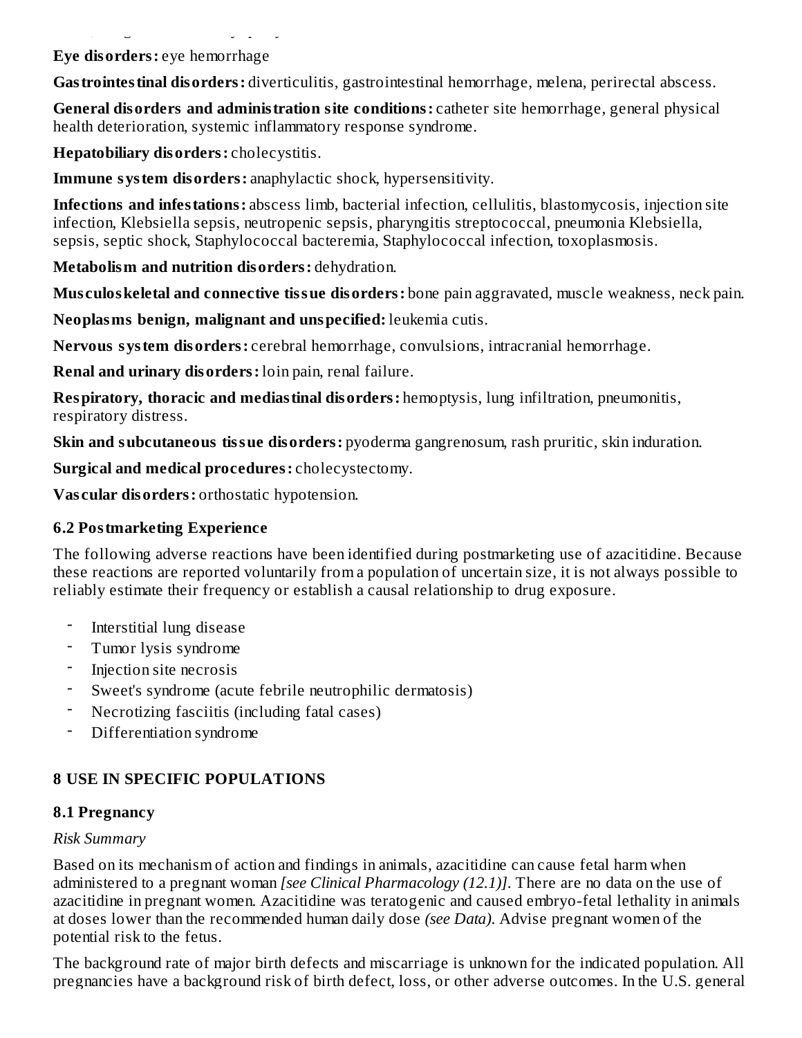**Eye disorders:** eye hemorrhage

arrest, congestive cardiomyopathy.

**Gastrointestinal disorders:** diverticulitis, gastrointestinal hemorrhage, melena, perirectal abscess.

**General disorders and administration site conditions:** catheter site hemorrhage, general physical health deterioration, systemic inflammatory response syndrome.

**Hepatobiliary disorders:** cholecystitis.

**Immune system disorders:** anaphylactic shock, hypersensitivity.

**Infections and infestations:** abscess limb, bacterial infection, cellulitis, blastomycosis, injection site infection, Klebsiella sepsis, neutropenic sepsis, pharyngitis streptococcal, pneumonia Klebsiella, sepsis, septic shock, Staphylococcal bacteremia, Staphylococcal infection, toxoplasmosis.

**Metabolism and nutrition disorders:** dehydration.

**Mus culoskeletal and connective tissue disorders:** bone pain aggravated, muscle weakness, neck pain.

**Neoplasms benign, malignant and unspecified:** leukemia cutis.

**Nervous system disorders:** cerebral hemorrhage, convulsions, intracranial hemorrhage.

**Renal and urinary disorders:** loin pain, renal failure.

**Respiratory, thoracic and mediastinal disorders:** hemoptysis, lung infiltration, pneumonitis, respiratory distress.

**Skin and subcutaneous tissue disorders:** pyoderma gangrenosum, rash pruritic, skin induration.

**Surgical and medical procedures:** cholecystectomy.

**Vas cular disorders:** orthostatic hypotension.

# **6.2 Postmarketing Experience**

The following adverse reactions have been identified during postmarketing use of azacitidine. Because these reactions are reported voluntarily from a population of uncertain size, it is not always possible to reliably estimate their frequency or establish a causal relationship to drug exposure.

- Interstitial lung disease
- Tumor lysis syndrome
- Injection site necrosis
- Sweet's syndrome (acute febrile neutrophilic dermatosis)
- Necrotizing fasciitis (including fatal cases)
- Differentiation syndrome

# **8 USE IN SPECIFIC POPULATIONS**

# **8.1 Pregnancy**

# *Risk Summary*

Based on its mechanism of action and findings in animals, azacitidine can cause fetal harm when administered to a pregnant woman *[see Clinical Pharmacology (12.1)]*. There are no data on the use of azacitidine in pregnant women. Azacitidine was teratogenic and caused embryo-fetal lethality in animals at doses lower than the recommended human daily dose *(see Data)*. Advise pregnant women of the potential risk to the fetus.

The background rate of major birth defects and miscarriage is unknown for the indicated population. All pregnancies have a background risk of birth defect, loss, or other adverse outcomes. In the U.S. general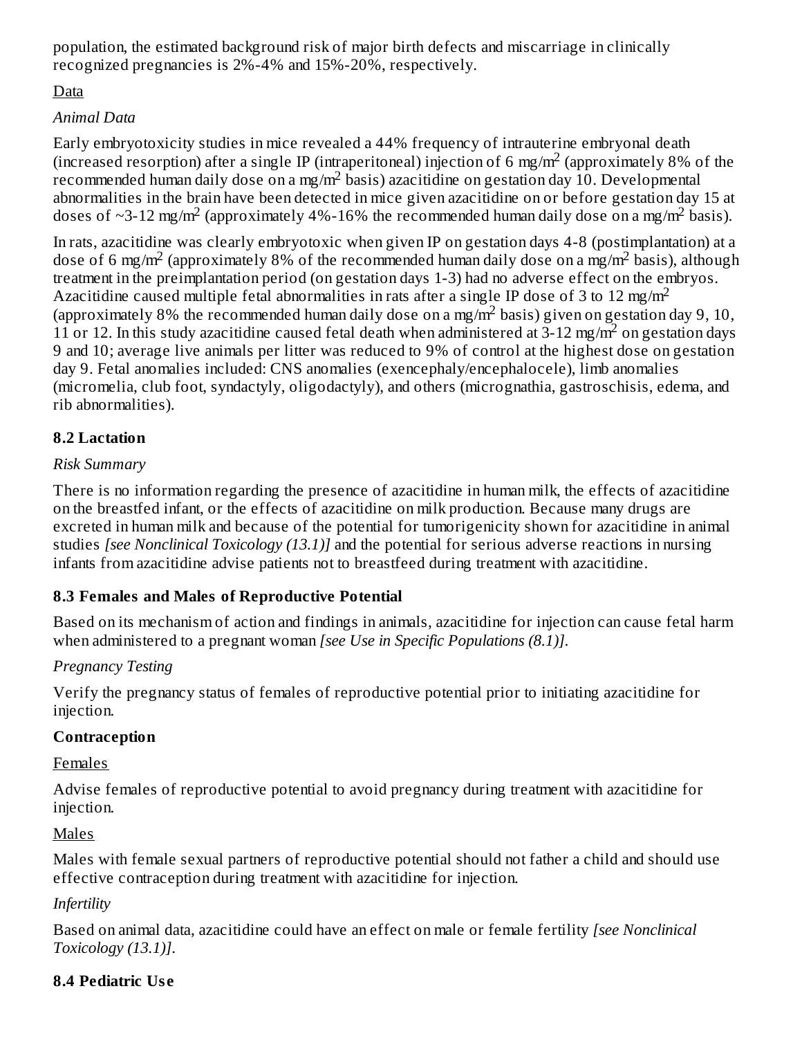population, the estimated background risk of major birth defects and miscarriage in clinically recognized pregnancies is 2%-4% and 15%-20%, respectively.

# Data

# *Animal Data*

Early embryotoxicity studies in mice revealed a 44% frequency of intrauterine embryonal death (increased resorption) after a single IP (intraperitoneal) injection of 6 mg/m<sup>2</sup> (approximately 8% of the recommended human daily dose on a mg/m<sup>2</sup> basis) azacitidine on gestation day 10. Developmental abnormalities in the brain have been detected in mice given azacitidine on or before gestation day 15 at doses of ~3-12 mg/m<sup>2</sup> (approximately 4%-16% the recommended human daily dose on a mg/m<sup>2</sup> basis).

In rats, azacitidine was clearly embryotoxic when given IP on gestation days 4-8 (postimplantation) at a dose of 6 mg/m<sup>2</sup> (approximately 8% of the recommended human daily dose on a mg/m<sup>2</sup> basis), although treatment in the preimplantation period (on gestation days 1-3) had no adverse effect on the embryos. Azacitidine caused multiple fetal abnormalities in rats after a single IP dose of 3 to 12 mg/m<sup>2</sup> (approximately 8% the recommended human daily dose on a mg/m<sup>2</sup> basis) given on gestation day 9, 10, 11 or 12. In this study azacitidine caused fetal death when administered at  $3-12$  mg/m<sup>2</sup> on gestation days 9 and 10; average live animals per litter was reduced to 9% of control at the highest dose on gestation day 9. Fetal anomalies included: CNS anomalies (exencephaly/encephalocele), limb anomalies (micromelia, club foot, syndactyly, oligodactyly), and others (micrognathia, gastroschisis, edema, and rib abnormalities).

# **8.2 Lactation**

# *Risk Summary*

There is no information regarding the presence of azacitidine in human milk, the effects of azacitidine on the breastfed infant, or the effects of azacitidine on milk production. Because many drugs are excreted in human milk and because of the potential for tumorigenicity shown for azacitidine in animal studies *[see Nonclinical Toxicology (13.1)]* and the potential for serious adverse reactions in nursing infants from azacitidine advise patients not to breastfeed during treatment with azacitidine.

# **8.3 Females and Males of Reproductive Potential**

Based on its mechanism of action and findings in animals, azacitidine for injection can cause fetal harm when administered to a pregnant woman *[see Use in Specific Populations (8.1)]*.

# *Pregnancy Testing*

Verify the pregnancy status of females of reproductive potential prior to initiating azacitidine for injection.

### **Contraception**

Females

Advise females of reproductive potential to avoid pregnancy during treatment with azacitidine for injection.

# Males

Males with female sexual partners of reproductive potential should not father a child and should use effective contraception during treatment with azacitidine for injection.

# *Infertility*

Based on animal data, azacitidine could have an effect on male or female fertility *[see Nonclinical Toxicology (13.1)]*.

# **8.4 Pediatric Us e**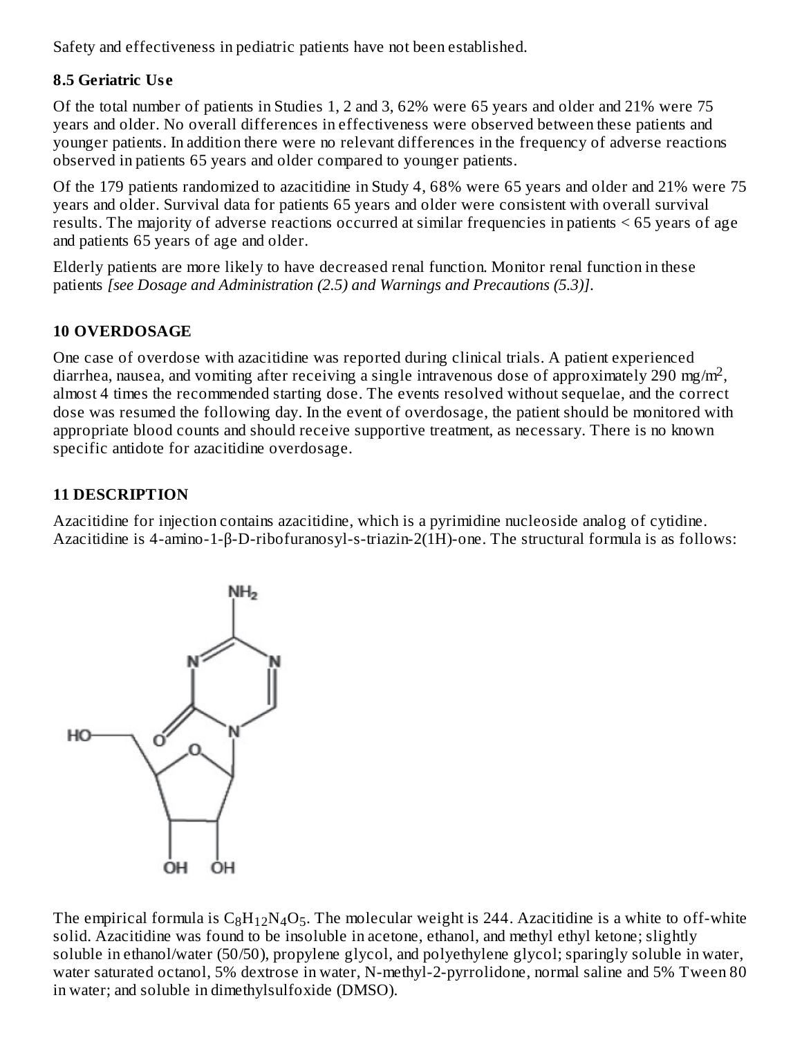Safety and effectiveness in pediatric patients have not been established.

# **8.5 Geriatric Us e**

Of the total number of patients in Studies 1, 2 and 3, 62% were 65 years and older and 21% were 75 years and older. No overall differences in effectiveness were observed between these patients and younger patients. In addition there were no relevant differences in the frequency of adverse reactions observed in patients 65 years and older compared to younger patients.

Of the 179 patients randomized to azacitidine in Study 4, 68% were 65 years and older and 21% were 75 years and older. Survival data for patients 65 years and older were consistent with overall survival results. The majority of adverse reactions occurred at similar frequencies in patients < 65 years of age and patients 65 years of age and older.

Elderly patients are more likely to have decreased renal function. Monitor renal function in these patients *[see Dosage and Administration (2.5) and Warnings and Precautions (5.3)]*.

# **10 OVERDOSAGE**

One case of overdose with azacitidine was reported during clinical trials. A patient experienced diarrhea, nausea, and vomiting after receiving a single intravenous dose of approximately 290 mg/m<sup>2</sup>, almost 4 times the recommended starting dose. The events resolved without sequelae, and the correct dose was resumed the following day. In the event of overdosage, the patient should be monitored with appropriate blood counts and should receive supportive treatment, as necessary. There is no known specific antidote for azacitidine overdosage.

# **11 DESCRIPTION**

Azacitidine for injection contains azacitidine, which is a pyrimidine nucleoside analog of cytidine. Azacitidine is 4-amino-1-β-D-ribofuranosyl-s-triazin-2(1H)-one. The structural formula is as follows:



The empirical formula is  $\rm{C_8H_{12}N_4O_5}$ . The molecular weight is 244. Azacitidine is a white to off-white solid. Azacitidine was found to be insoluble in acetone, ethanol, and methyl ethyl ketone; slightly soluble in ethanol/water (50/50), propylene glycol, and polyethylene glycol; sparingly soluble in water, water saturated octanol, 5% dextrose in water, N-methyl-2-pyrrolidone, normal saline and 5% Tween 80 in water; and soluble in dimethylsulfoxide (DMSO).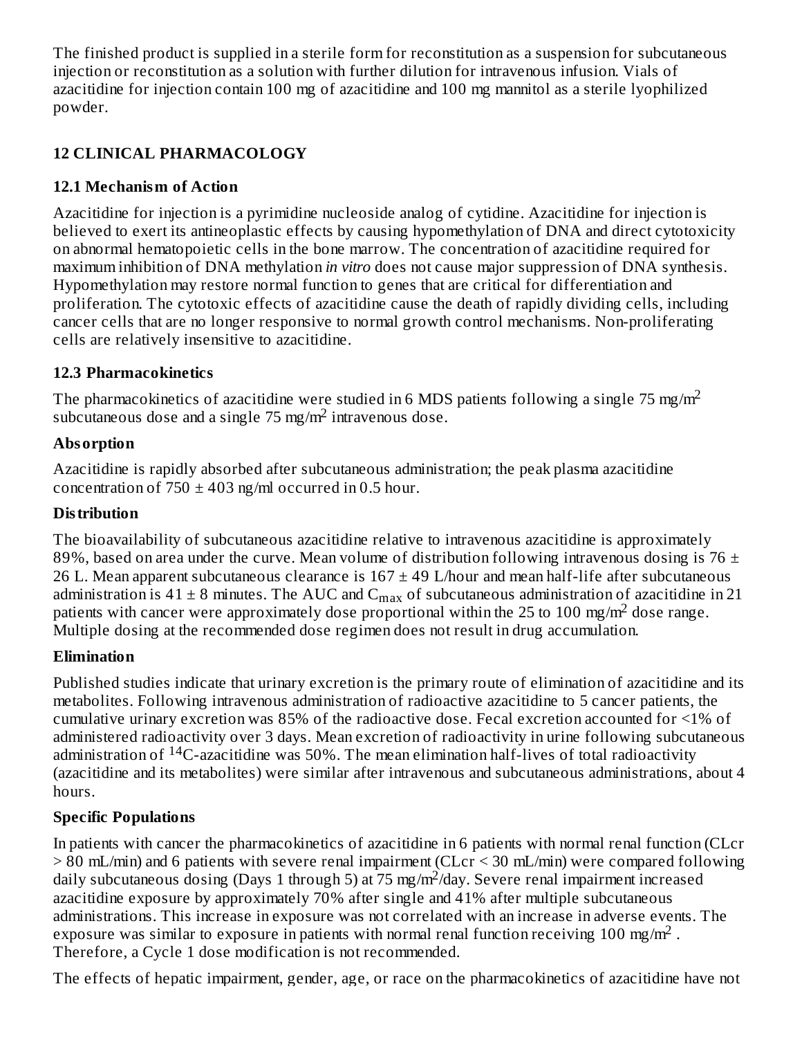The finished product is supplied in a sterile form for reconstitution as a suspension for subcutaneous injection or reconstitution as a solution with further dilution for intravenous infusion. Vials of azacitidine for injection contain 100 mg of azacitidine and 100 mg mannitol as a sterile lyophilized powder.

# **12 CLINICAL PHARMACOLOGY**

# **12.1 Mechanism of Action**

Azacitidine for injection is a pyrimidine nucleoside analog of cytidine. Azacitidine for injection is believed to exert its antineoplastic effects by causing hypomethylation of DNA and direct cytotoxicity on abnormal hematopoietic cells in the bone marrow. The concentration of azacitidine required for maximum inhibition of DNA methylation *in vitro* does not cause major suppression of DNA synthesis. Hypomethylation may restore normal function to genes that are critical for differentiation and proliferation. The cytotoxic effects of azacitidine cause the death of rapidly dividing cells, including cancer cells that are no longer responsive to normal growth control mechanisms. Non-proliferating cells are relatively insensitive to azacitidine.

# **12.3 Pharmacokinetics**

The pharmacokinetics of azacitidine were studied in 6 MDS patients following a single 75 mg/m<sup>2</sup> subcutaneous dose and a single  $75 \text{ mg/m}^2$  intravenous dose.

# **Absorption**

Azacitidine is rapidly absorbed after subcutaneous administration; the peak plasma azacitidine concentration of  $750 \pm 403$  ng/ml occurred in 0.5 hour.

# **Distribution**

The bioavailability of subcutaneous azacitidine relative to intravenous azacitidine is approximately 89%, based on area under the curve. Mean volume of distribution following intravenous dosing is 76  $\pm$ 26 L. Mean apparent subcutaneous clearance is  $167 \pm 49$  L/hour and mean half-life after subcutaneous administration is 41  $\pm$  8 minutes. The AUC and C $_{\rm max}$  of subcutaneous administration of azacitidine in 21 patients with cancer were approximately dose proportional within the 25 to 100 mg/m<sup>2</sup> dose range. Multiple dosing at the recommended dose regimen does not result in drug accumulation.

# **Elimination**

Published studies indicate that urinary excretion is the primary route of elimination of azacitidine and its metabolites. Following intravenous administration of radioactive azacitidine to 5 cancer patients, the cumulative urinary excretion was 85% of the radioactive dose. Fecal excretion accounted for <1% of administered radioactivity over 3 days. Mean excretion of radioactivity in urine following subcutaneous administration of <sup>14</sup>C-azacitidine was 50%. The mean elimination half-lives of total radioactivity (azacitidine and its metabolites) were similar after intravenous and subcutaneous administrations, about 4 hours.

# **Specific Populations**

In patients with cancer the pharmacokinetics of azacitidine in 6 patients with normal renal function (CLcr > 80 mL/min) and 6 patients with severe renal impairment (CLcr < 30 mL/min) were compared following daily subcutaneous dosing (Days 1 through 5) at  $75 \text{ mg/m}^2$ /day. Severe renal impairment increased azacitidine exposure by approximately 70% after single and 41% after multiple subcutaneous administrations. This increase in exposure was not correlated with an increase in adverse events. The exposure was similar to exposure in patients with normal renal function receiving 100 mg/m<sup>2</sup>. Therefore, a Cycle 1 dose modification is not recommended.

The effects of hepatic impairment, gender, age, or race on the pharmacokinetics of azacitidine have not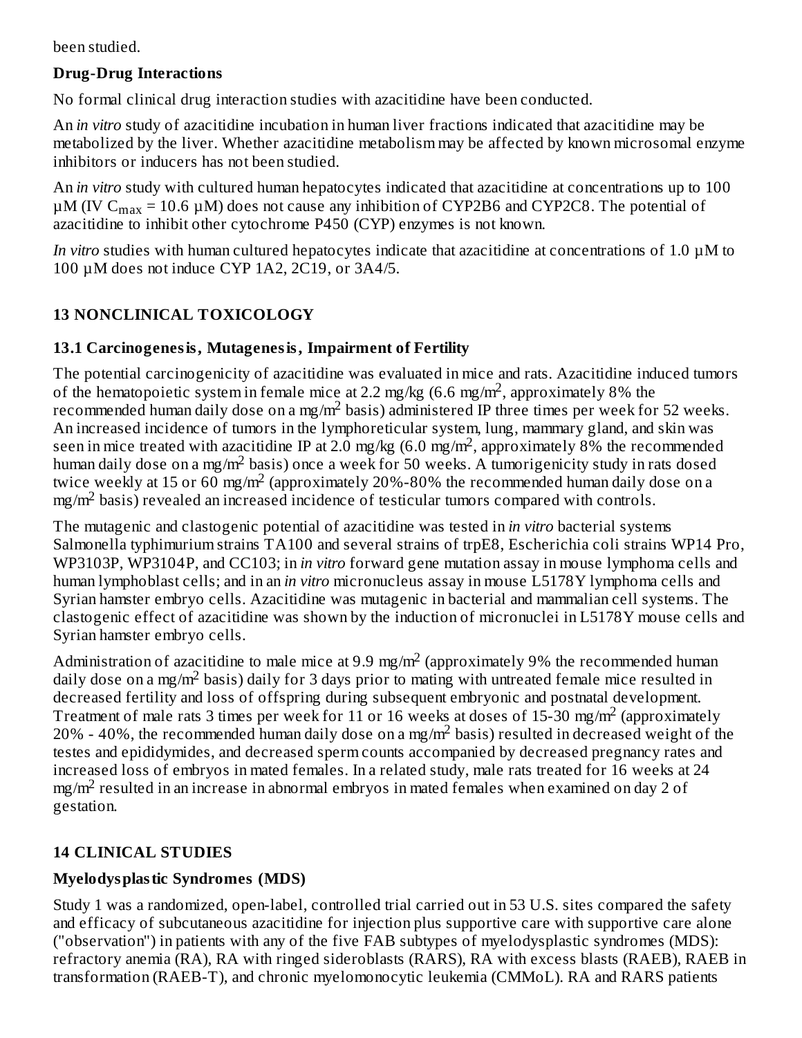been studied.

# **Drug-Drug Interactions**

No formal clinical drug interaction studies with azacitidine have been conducted.

An *in vitro* study of azacitidine incubation in human liver fractions indicated that azacitidine may be metabolized by the liver. Whether azacitidine metabolism may be affected by known microsomal enzyme inhibitors or inducers has not been studied.

An *in vitro* study with cultured human hepatocytes indicated that azacitidine at concentrations up to 100  $\mu$ M (IV C $_{\rm max}$  = 10.6  $\mu$ M) does not cause any inhibition of CYP2B6 and CYP2C8. The potential of azacitidine to inhibit other cytochrome P450 (CYP) enzymes is not known.

*In vitro* studies with human cultured hepatocytes indicate that azacitidine at concentrations of 1.0 µM to 100 µM does not induce CYP 1A2, 2C19, or 3A4/5.

# **13 NONCLINICAL TOXICOLOGY**

# **13.1 Carcinogenesis, Mutagenesis, Impairment of Fertility**

The potential carcinogenicity of azacitidine was evaluated in mice and rats. Azacitidine induced tumors of the hematopoietic system in female mice at 2.2 mg/kg  $(6.6 \text{ mg/m}^2)$ , approximately 8% the recommended human daily dose on a mg/m<sup>2</sup> basis) administered IP three times per week for 52 weeks. An increased incidence of tumors in the lymphoreticular system, lung, mammary gland, and skin was seen in mice treated with azacitidine IP at 2.0 mg/kg (6.0 mg/m<sup>2</sup>, approximately 8% the recommended human daily dose on a mg/m<sup>2</sup> basis) once a week for 50 weeks. A tumorigenicity study in rats dosed twice weekly at 15 or 60 mg/m<sup>2</sup> (approximately 20%-80% the recommended human daily dose on a mg/m<sup>2</sup> basis) revealed an increased incidence of testicular tumors compared with controls.

The mutagenic and clastogenic potential of azacitidine was tested in *in vitro* bacterial systems Salmonella typhimurium strains TA100 and several strains of trpE8, Escherichia coli strains WP14 Pro, WP3103P, WP3104P, and CC103; in *in vitro* forward gene mutation assay in mouse lymphoma cells and human lymphoblast cells; and in an *in vitro* micronucleus assay in mouse L5178Y lymphoma cells and Syrian hamster embryo cells. Azacitidine was mutagenic in bacterial and mammalian cell systems. The clastogenic effect of azacitidine was shown by the induction of micronuclei in L5178Y mouse cells and Syrian hamster embryo cells.

Administration of azacitidine to male mice at 9.9 mg/m<sup>2</sup> (approximately 9% the recommended human daily dose on a mg/m<sup>2</sup> basis) daily for 3 days prior to mating with untreated female mice resulted in decreased fertility and loss of offspring during subsequent embryonic and postnatal development. Treatment of male rats 3 times per week for 11 or 16 weeks at doses of 15-30 mg/m<sup>2</sup> (approximately 20% - 40%, the recommended human daily dose on a mg/m<sup>2</sup> basis) resulted in decreased weight of the testes and epididymides, and decreased sperm counts accompanied by decreased pregnancy rates and increased loss of embryos in mated females. In a related study, male rats treated for 16 weeks at 24 mg/m $^2$  resulted in an increase in abnormal embryos in mated females when examined on day 2 of gestation.

# **14 CLINICAL STUDIES**

# **Myelodysplastic Syndromes (MDS)**

Study 1 was a randomized, open-label, controlled trial carried out in 53 U.S. sites compared the safety and efficacy of subcutaneous azacitidine for injection plus supportive care with supportive care alone ("observation") in patients with any of the five FAB subtypes of myelodysplastic syndromes (MDS): refractory anemia (RA), RA with ringed sideroblasts (RARS), RA with excess blasts (RAEB), RAEB in transformation (RAEB-T), and chronic myelomonocytic leukemia (CMMoL). RA and RARS patients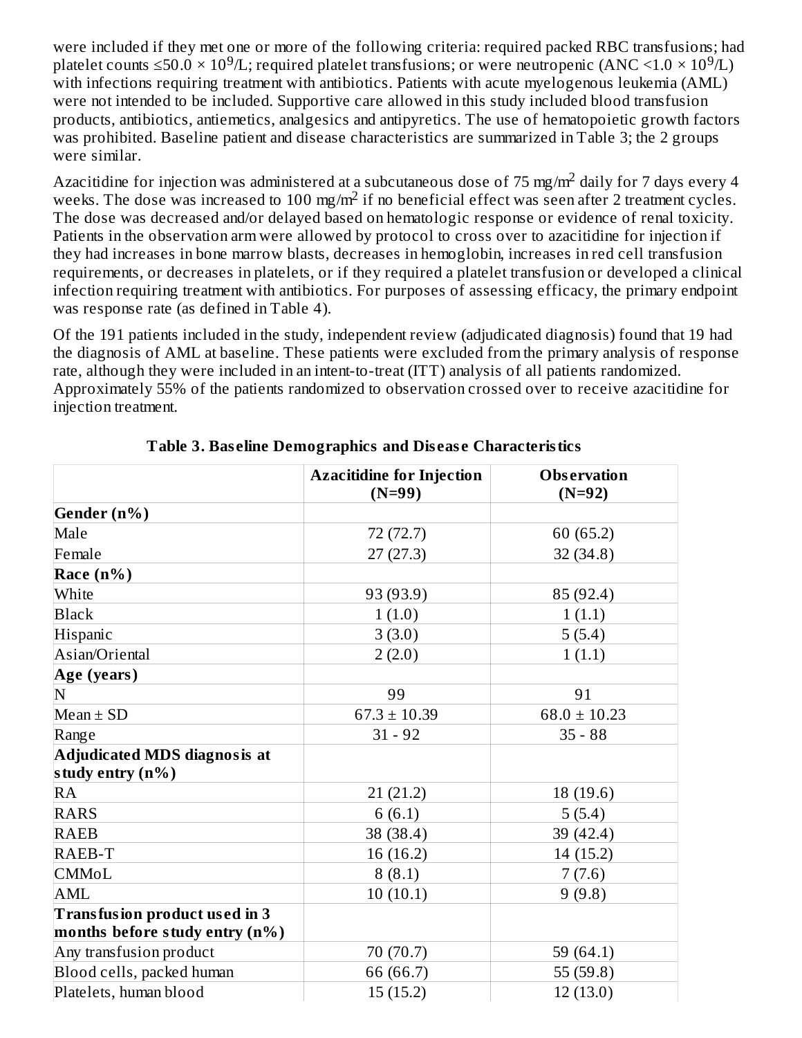were included if they met one or more of the following criteria: required packed RBC transfusions; had platelet counts  $\leq$ 50.0  $\times$  10<sup>9</sup>/L; required platelet transfusions; or were neutropenic (ANC <1.0  $\times$  10<sup>9</sup>/L) with infections requiring treatment with antibiotics. Patients with acute myelogenous leukemia (AML) were not intended to be included. Supportive care allowed in this study included blood transfusion products, antibiotics, antiemetics, analgesics and antipyretics. The use of hematopoietic growth factors was prohibited. Baseline patient and disease characteristics are summarized in Table 3; the 2 groups were similar.

Azacitidine for injection was administered at a subcutaneous dose of 75 mg/m<sup>2</sup> daily for 7 days every 4 weeks. The dose was increased to 100 mg/m<sup>2</sup> if no beneficial effect was seen after 2 treatment cycles. The dose was decreased and/or delayed based on hematologic response or evidence of renal toxicity. Patients in the observation arm were allowed by protocol to cross over to azacitidine for injection if they had increases in bone marrow blasts, decreases in hemoglobin, increases in red cell transfusion requirements, or decreases in platelets, or if they required a platelet transfusion or developed a clinical infection requiring treatment with antibiotics. For purposes of assessing efficacy, the primary endpoint was response rate (as defined in Table 4).

Of the 191 patients included in the study, independent review (adjudicated diagnosis) found that 19 had the diagnosis of AML at baseline. These patients were excluded from the primary analysis of response rate, although they were included in an intent-to-treat (ITT) analysis of all patients randomized. Approximately 55% of the patients randomized to observation crossed over to receive azacitidine for injection treatment.

|                                | <b>Azacitidine for Injection</b><br>$(N=99)$ | <b>Observation</b><br>$(N=92)$ |
|--------------------------------|----------------------------------------------|--------------------------------|
| Gender (n%)                    |                                              |                                |
| Male                           | 72 (72.7)                                    | 60 (65.2)                      |
| Female                         | 27(27.3)                                     | 32(34.8)                       |
| Race $(n\%)$                   |                                              |                                |
| White                          | 93 (93.9)                                    | 85 (92.4)                      |
| <b>Black</b>                   | 1(1.0)                                       | 1(1.1)                         |
| Hispanic                       | 3(3.0)                                       | 5(5.4)                         |
| Asian/Oriental                 | 2(2.0)                                       | 1(1.1)                         |
| Age (years)                    |                                              |                                |
| N                              | 99                                           | 91                             |
| $Mean \pm SD$                  | $67.3 \pm 10.39$                             | $68.0 \pm 10.23$               |
| Range                          | $31 - 92$                                    | $35 - 88$                      |
| Adjudicated MDS diagnosis at   |                                              |                                |
| study entry $(n\%)$            |                                              |                                |
| RA                             | 21(21.2)                                     | 18 (19.6)                      |
| <b>RARS</b>                    | 6(6.1)                                       | 5(5.4)                         |
| <b>RAEB</b>                    | 38 (38.4)                                    | 39 (42.4)                      |
| RAEB-T                         | 16 (16.2)                                    | 14 (15.2)                      |
| <b>CMMoL</b>                   | 8(8.1)                                       | 7(7.6)                         |
| <b>AML</b>                     | 10(10.1)                                     | 9(9.8)                         |
| Transfusion product used in 3  |                                              |                                |
| months before study entry (n%) |                                              |                                |
| Any transfusion product        | 70 (70.7)                                    | 59 (64.1)                      |
| Blood cells, packed human      | 66 (66.7)                                    | 55 (59.8)                      |
| Platelets, human blood         | 15(15.2)                                     | 12(13.0)                       |

**Table 3. Bas eline Demographics and Dis eas e Characteristics**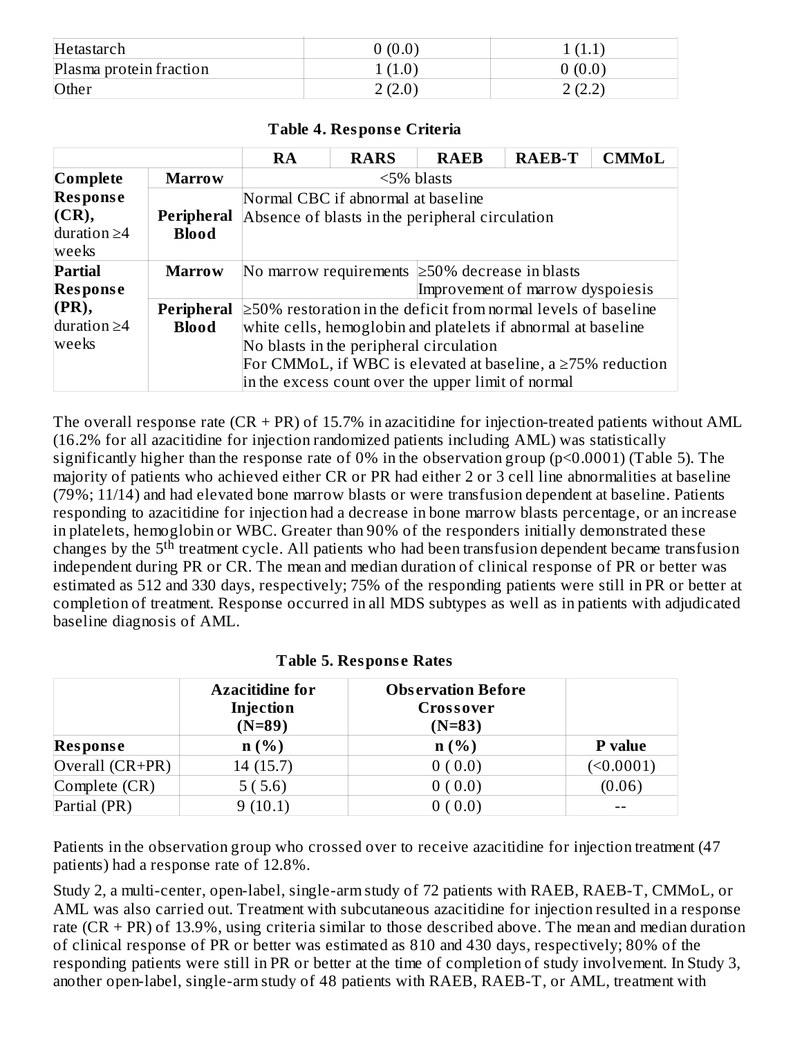| Hetastarch              | 0(0.0) | ' 1.L                   |
|-------------------------|--------|-------------------------|
| Plasma protein fraction | (1.0)  | 0(0.0)                  |
| Other                   | 2(2.0) | ור רז ר<br>. 4. 4.<br>- |

#### **Table 4. Respons e Criteria**

|                   |                   | <b>RA</b>                                                            | <b>RARS</b> | <b>RAEB</b>  | <b>RAEB-T</b> | <b>CMMoL</b> |
|-------------------|-------------------|----------------------------------------------------------------------|-------------|--------------|---------------|--------------|
| Complete          | <b>Marrow</b>     |                                                                      |             | $5\%$ blasts |               |              |
| <b>Response</b>   |                   | Normal CBC if abnormal at baseline                                   |             |              |               |              |
| (CR),             | Peripheral        | Absence of blasts in the peripheral circulation                      |             |              |               |              |
| duration $\geq$ 4 | <b>Blood</b>      |                                                                      |             |              |               |              |
| weeks             |                   |                                                                      |             |              |               |              |
| Partial           | <b>Marrow</b>     | No marrow requirements $\geq 50\%$ decrease in blasts                |             |              |               |              |
| <b>Response</b>   |                   | Improvement of marrow dyspoiesis                                     |             |              |               |              |
| $(\mathbf{PR}),$  | <b>Peripheral</b> | $\geq$ 50% restoration in the deficit from normal levels of baseline |             |              |               |              |
| duration $\geq$ 4 | <b>Blood</b>      | white cells, hemoglobin and platelets if abnormal at baseline        |             |              |               |              |
| weeks             |                   | No blasts in the peripheral circulation                              |             |              |               |              |
|                   |                   | For CMMoL, if WBC is elevated at baseline, a $\geq$ 75% reduction    |             |              |               |              |
|                   |                   | in the excess count over the upper limit of normal                   |             |              |               |              |

The overall response rate (CR + PR) of 15.7% in azacitidine for injection-treated patients without AML (16.2% for all azacitidine for injection randomized patients including AML) was statistically significantly higher than the response rate of 0% in the observation group (p<0.0001) (Table 5). The majority of patients who achieved either CR or PR had either 2 or 3 cell line abnormalities at baseline (79%; 11/14) and had elevated bone marrow blasts or were transfusion dependent at baseline. Patients responding to azacitidine for injection had a decrease in bone marrow blasts percentage, or an increase in platelets, hemoglobin or WBC. Greater than 90% of the responders initially demonstrated these changes by the 5<sup>th</sup> treatment cycle. All patients who had been transfusion dependent became transfusion independent during PR or CR. The mean and median duration of clinical response of PR or better was estimated as 512 and 330 days, respectively; 75% of the responding patients were still in PR or better at completion of treatment. Response occurred in all MDS subtypes as well as in patients with adjudicated baseline diagnosis of AML.

|                   | <b>Azacitidine for</b><br>Injection<br>$(N=89)$ | <b>Observation Before</b><br>Crossover<br>$(N=83)$ |                |
|-------------------|-------------------------------------------------|----------------------------------------------------|----------------|
| Response          | n(%)                                            | n(%)                                               | <b>P</b> value |
| Overall $(CR+PR)$ | 14(15.7)                                        | 0(0.0)                                             | (0.0001)       |
| Complete (CR)     | 5(5.6)                                          | 0(0.0)                                             | (0.06)         |
| Partial (PR)      | 9(10.1)                                         | $0\ ( \ 0.0)$                                      |                |

| <b>Table 5. Response Rates</b> |  |  |
|--------------------------------|--|--|
|--------------------------------|--|--|

Patients in the observation group who crossed over to receive azacitidine for injection treatment (47 patients) had a response rate of 12.8%.

Study 2, a multi-center, open-label, single-arm study of 72 patients with RAEB, RAEB-T, CMMoL, or AML was also carried out. Treatment with subcutaneous azacitidine for injection resulted in a response rate  $(CR + PR)$  of 13.9%, using criteria similar to those described above. The mean and median duration of clinical response of PR or better was estimated as 810 and 430 days, respectively; 80% of the responding patients were still in PR or better at the time of completion of study involvement. In Study 3, another open-label, single-arm study of 48 patients with RAEB, RAEB-T, or AML, treatment with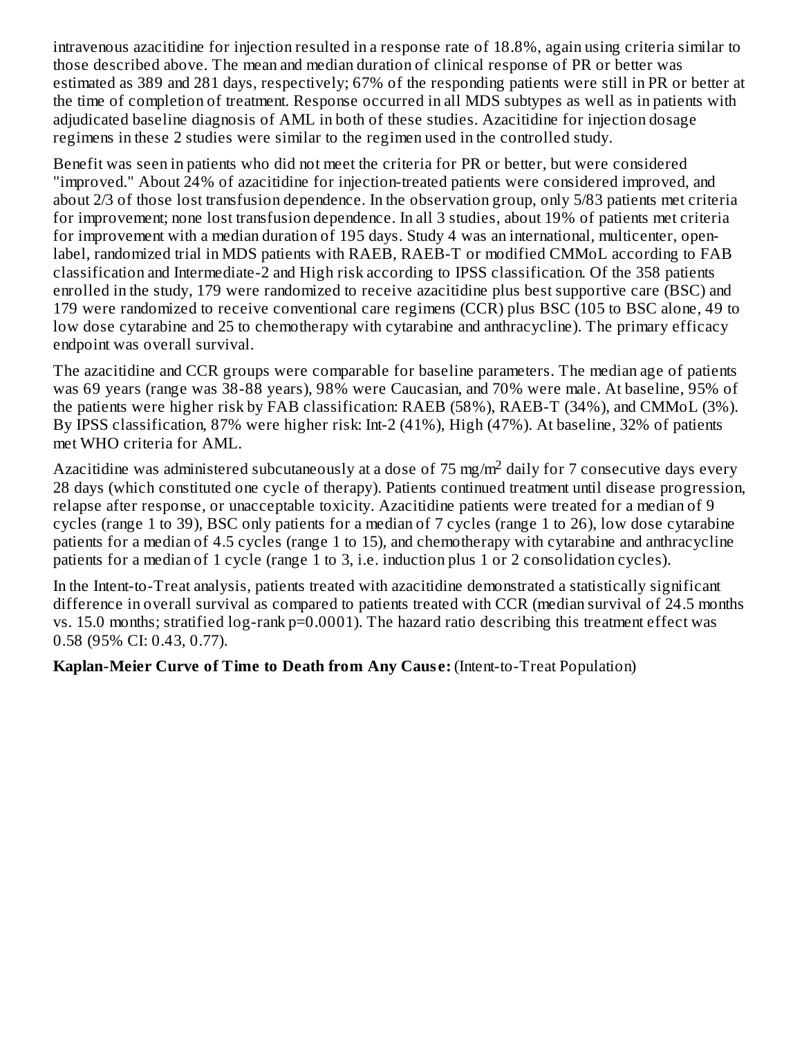intravenous azacitidine for injection resulted in a response rate of 18.8%, again using criteria similar to those described above. The mean and median duration of clinical response of PR or better was estimated as 389 and 281 days, respectively; 67% of the responding patients were still in PR or better at the time of completion of treatment. Response occurred in all MDS subtypes as well as in patients with adjudicated baseline diagnosis of AML in both of these studies. Azacitidine for injection dosage regimens in these 2 studies were similar to the regimen used in the controlled study.

Benefit was seen in patients who did not meet the criteria for PR or better, but were considered "improved." About 24% of azacitidine for injection-treated patients were considered improved, and about 2/3 of those lost transfusion dependence. In the observation group, only 5/83 patients met criteria for improvement; none lost transfusion dependence. In all 3 studies, about 19% of patients met criteria for improvement with a median duration of 195 days. Study 4 was an international, multicenter, openlabel, randomized trial in MDS patients with RAEB, RAEB-T or modified CMMoL according to FAB classification and Intermediate-2 and High risk according to IPSS classification. Of the 358 patients enrolled in the study, 179 were randomized to receive azacitidine plus best supportive care (BSC) and 179 were randomized to receive conventional care regimens (CCR) plus BSC (105 to BSC alone, 49 to low dose cytarabine and 25 to chemotherapy with cytarabine and anthracycline). The primary efficacy endpoint was overall survival.

The azacitidine and CCR groups were comparable for baseline parameters. The median age of patients was 69 years (range was 38-88 years), 98% were Caucasian, and 70% were male. At baseline, 95% of the patients were higher risk by FAB classification: RAEB (58%), RAEB-T (34%), and CMMoL (3%). By IPSS classification, 87% were higher risk: Int-2 (41%), High (47%). At baseline, 32% of patients met WHO criteria for AML.

Azacitidine was administered subcutaneously at a dose of 75 mg/m<sup>2</sup> daily for 7 consecutive days every 28 days (which constituted one cycle of therapy). Patients continued treatment until disease progression, relapse after response, or unacceptable toxicity. Azacitidine patients were treated for a median of 9 cycles (range 1 to 39), BSC only patients for a median of 7 cycles (range 1 to 26), low dose cytarabine patients for a median of 4.5 cycles (range 1 to 15), and chemotherapy with cytarabine and anthracycline patients for a median of 1 cycle (range 1 to 3, i.e. induction plus 1 or 2 consolidation cycles).

In the Intent-to-Treat analysis, patients treated with azacitidine demonstrated a statistically significant difference in overall survival as compared to patients treated with CCR (median survival of 24.5 months vs. 15.0 months; stratified log-rank p=0.0001). The hazard ratio describing this treatment effect was 0.58 (95% CI: 0.43, 0.77).

**Kaplan-Meier Curve of Time to Death from Any Caus e:** (Intent-to-Treat Population)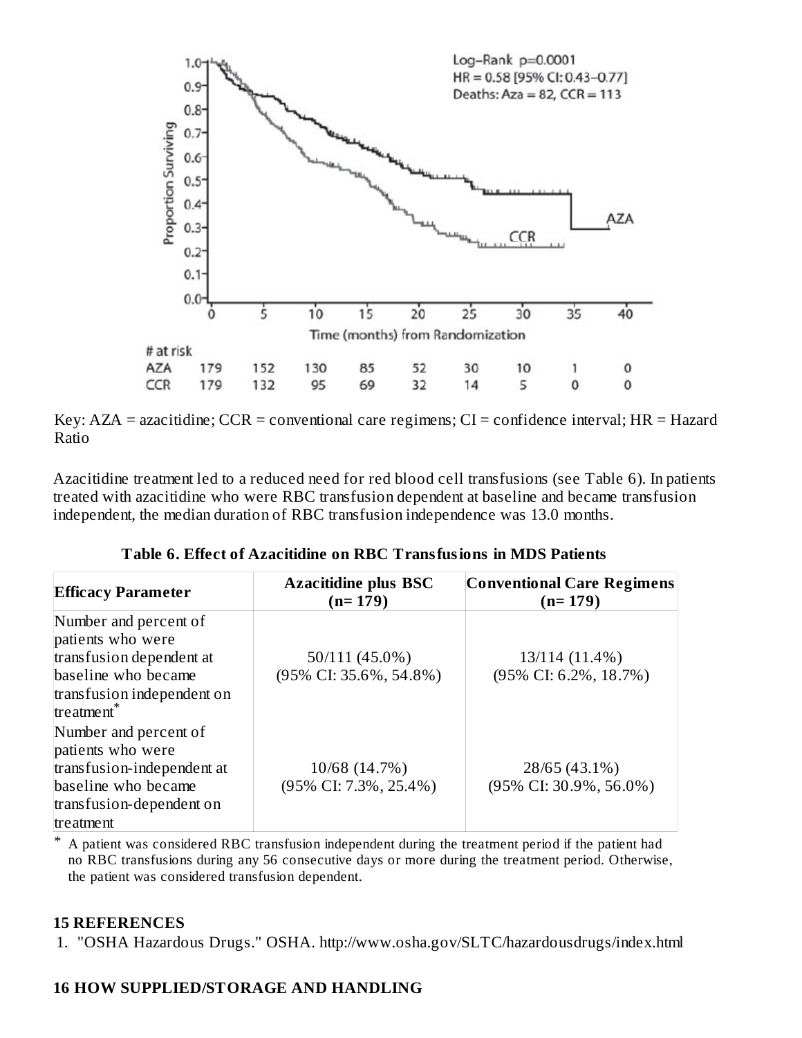

Key:  $AZA =$  azacitidine;  $CCR =$  conventional care regimens;  $CI =$  confidence interval;  $HR =$  Hazard Ratio

Azacitidine treatment led to a reduced need for red blood cell transfusions (see Table 6). In patients treated with azacitidine who were RBC transfusion dependent at baseline and became transfusion independent, the median duration of RBC transfusion independence was 13.0 months.

| <b>Efficacy Parameter</b>                                                                                                                 | <b>Azacitidine plus BSC</b><br>$(n=179)$    | <b>Conventional Care Regimens</b><br>$(n=179)$        |
|-------------------------------------------------------------------------------------------------------------------------------------------|---------------------------------------------|-------------------------------------------------------|
| Number and percent of<br>patients who were<br>transfusion dependent at<br>baseline who became<br>transfusion independent on<br>treatment* | 50/111 (45.0%)<br>$(95\%$ CI: 35.6%, 54.8%) | 13/114 (11.4%)<br>$(95\% \text{ CI: } 6.2\%, 18.7\%)$ |
| Number and percent of<br>patients who were<br>transfusion-independent at<br>baseline who became<br>transfusion-dependent on<br>treatment  | 10/68 (14.7%)<br>(95% CI: 7.3%, 25.4%)      | 28/65 (43.1%)<br>(95% CI: 30.9%, 56.0%)               |

**Table 6. Effect of Azacitidine on RBC Transfusions in MDS Patients**

\* A patient was considered RBC transfusion independent during the treatment period if the patient had no RBC transfusions during any 56 consecutive days or more during the treatment period. Otherwise, the patient was considered transfusion dependent.

#### **15 REFERENCES**

1. "OSHA Hazardous Drugs." OSHA. http://www.osha.gov/SLTC/hazardousdrugs/index.html

### **16 HOW SUPPLIED/STORAGE AND HANDLING**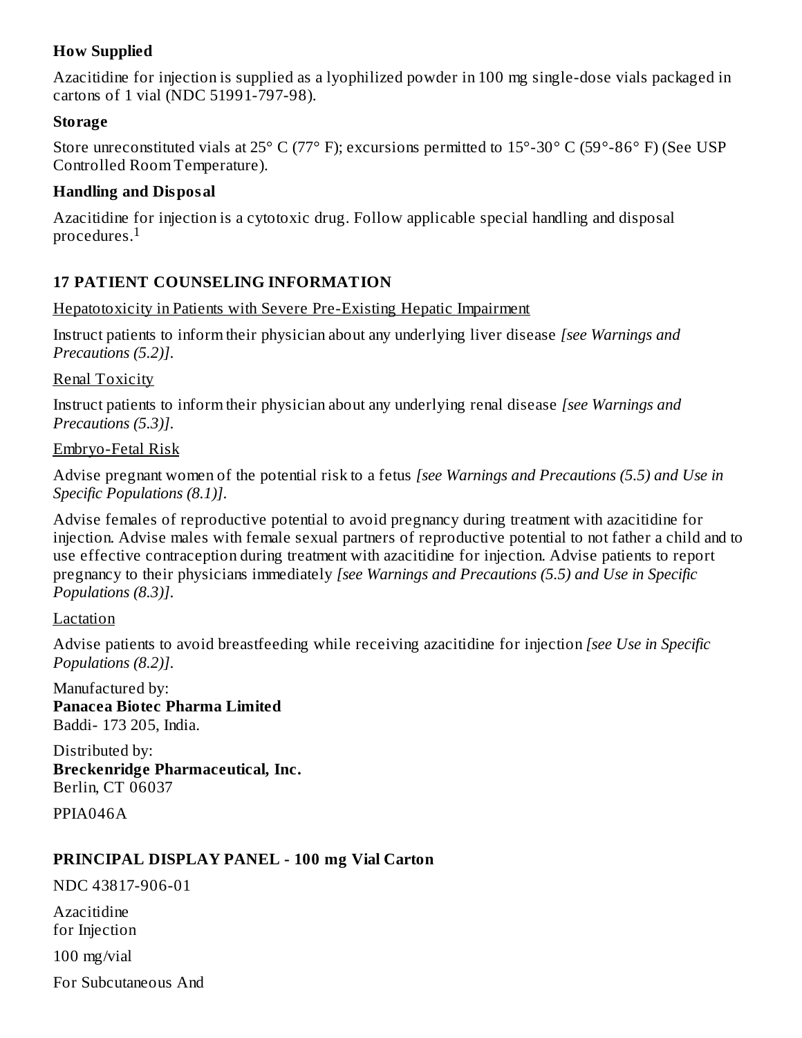### **How Supplied**

Azacitidine for injection is supplied as a lyophilized powder in 100 mg single-dose vials packaged in cartons of 1 vial (NDC 51991-797-98).

#### **Storage**

Store unreconstituted vials at 25° C (77° F); excursions permitted to 15°-30° C (59°-86° F) (See USP Controlled Room Temperature).

#### **Handling and Disposal**

Azacitidine for injection is a cytotoxic drug. Follow applicable special handling and disposal procedures. $^{\rm 1}$ 

# **17 PATIENT COUNSELING INFORMATION**

#### Hepatotoxicity in Patients with Severe Pre-Existing Hepatic Impairment

Instruct patients to inform their physician about any underlying liver disease *[see Warnings and Precautions (5.2)]*.

#### Renal Toxicity

Instruct patients to inform their physician about any underlying renal disease *[see Warnings and Precautions (5.3)]*.

#### Embryo-Fetal Risk

Advise pregnant women of the potential risk to a fetus *[see Warnings and Precautions (5.5) and Use in Specific Populations (8.1)]*.

Advise females of reproductive potential to avoid pregnancy during treatment with azacitidine for injection. Advise males with female sexual partners of reproductive potential to not father a child and to use effective contraception during treatment with azacitidine for injection. Advise patients to report pregnancy to their physicians immediately *[see Warnings and Precautions (5.5) and Use in Specific Populations (8.3)]*.

#### Lactation

Advise patients to avoid breastfeeding while receiving azacitidine for injection *[see Use in Specific Populations (8.2)]*.

Manufactured by: **Panacea Biotec Pharma Limited** Baddi- 173 205, India.

Distributed by: **Breckenridge Pharmaceutical, Inc.** Berlin, CT 06037

PPIA046A

### **PRINCIPAL DISPLAY PANEL - 100 mg Vial Carton**

NDC 43817-906-01

Azacitidine for Injection

100 mg/vial

For Subcutaneous And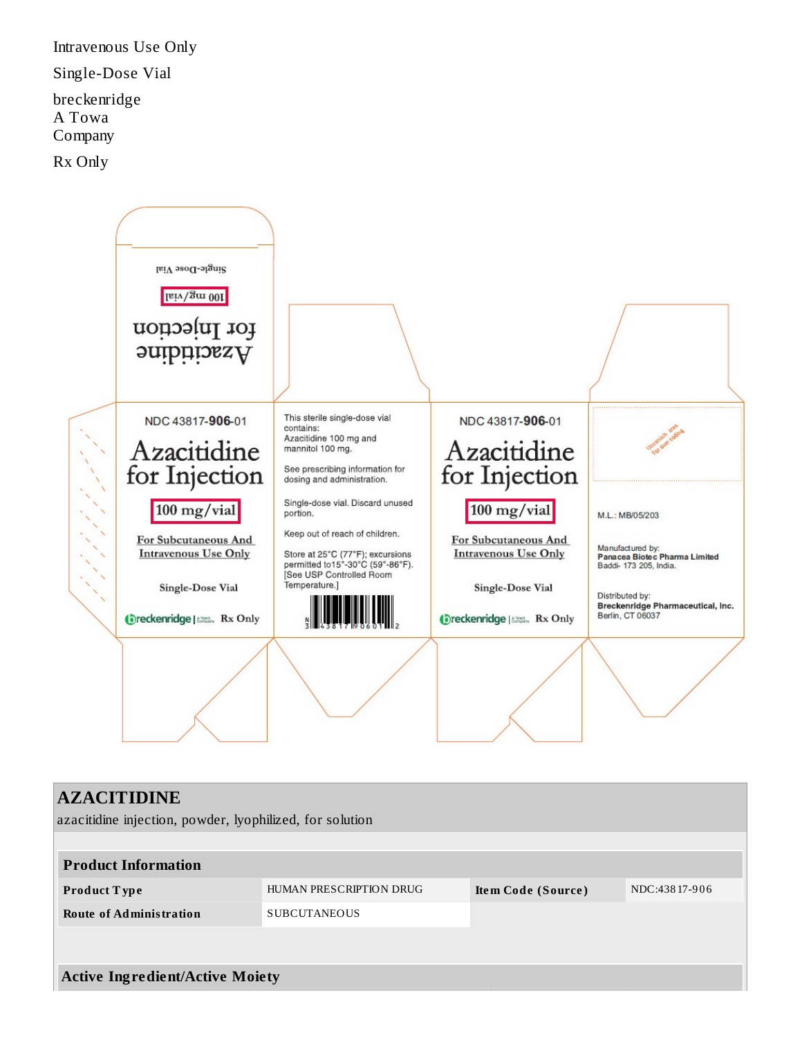Intravenous Use Only Single-Dose Vial breckenridge A Towa Company Rx Only



# **AZACITIDINE** azacitidine injection, powder, lyophilized, for solution **Product Information Product T ype** HUMAN PRESCRIPTION DRUG **Ite m Code (Source )** NDC:438 17-9 0 6 **Route of Administration** SUBCUTANEOUS **Active Ingredient/Active Moiety**